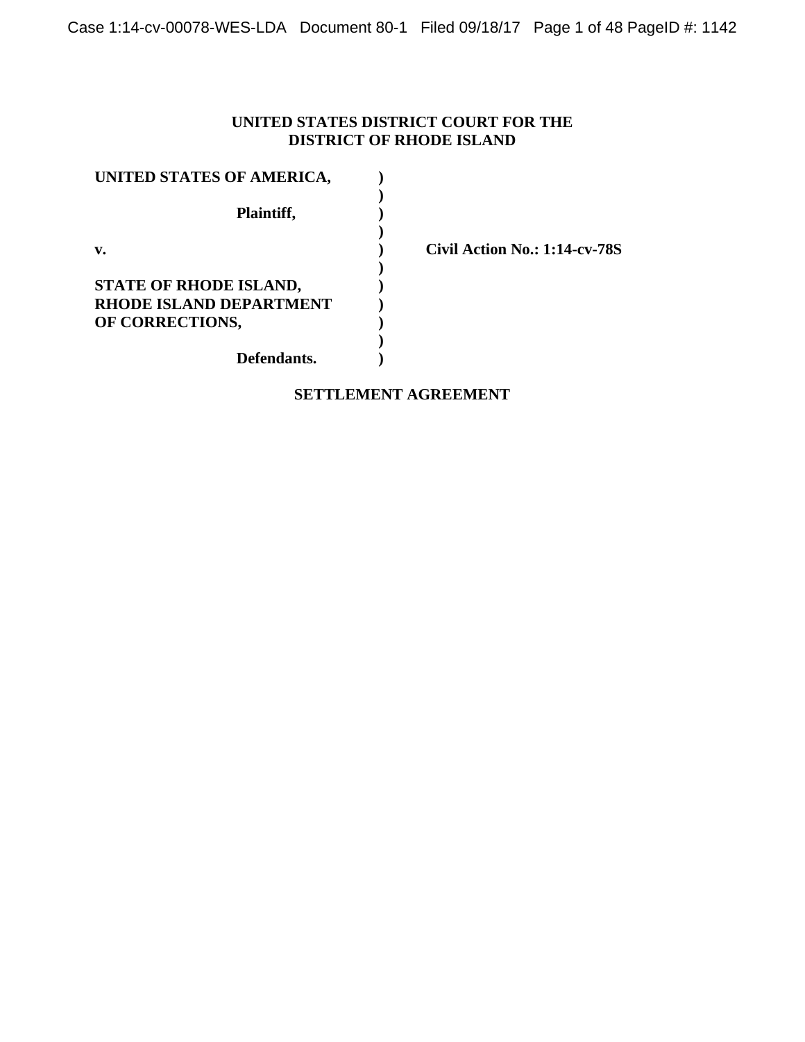## **UNITED STATES DISTRICT COURT FOR THE DISTRICT OF RHODE ISLAND**

| UNITED STATES OF AMERICA, |  |
|---------------------------|--|
| Plaintiff,                |  |
| v.                        |  |
| STATE OF RHODE ISLAND,    |  |
| RHODE ISLAND DEPARTMENT   |  |
| OF CORRECTIONS,           |  |
|                           |  |
| Defendants.               |  |

**v. ) Civil Action No.: 1:14-cv-78S**

## **SETTLEMENT AGREEMENT**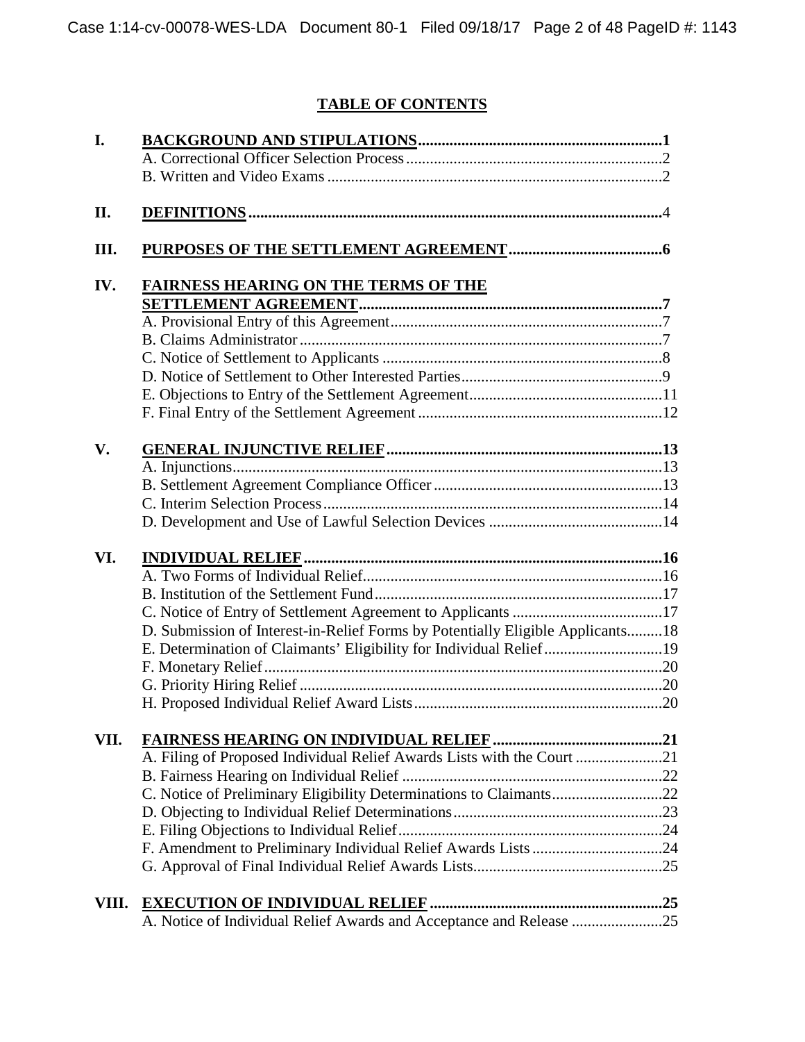# **TABLE OF CONTENTS**

| I.    |                                                                                |  |
|-------|--------------------------------------------------------------------------------|--|
|       |                                                                                |  |
|       |                                                                                |  |
| II.   |                                                                                |  |
| Ш.    |                                                                                |  |
| IV.   | <b>FAIRNESS HEARING ON THE TERMS OF THE</b>                                    |  |
|       |                                                                                |  |
|       |                                                                                |  |
|       |                                                                                |  |
|       |                                                                                |  |
|       |                                                                                |  |
|       |                                                                                |  |
|       |                                                                                |  |
| V.    |                                                                                |  |
|       |                                                                                |  |
|       |                                                                                |  |
|       |                                                                                |  |
|       |                                                                                |  |
| VI.   |                                                                                |  |
|       |                                                                                |  |
|       |                                                                                |  |
|       |                                                                                |  |
|       | D. Submission of Interest-in-Relief Forms by Potentially Eligible Applicants18 |  |
|       | E. Determination of Claimants' Eligibility for Individual Relief19             |  |
|       |                                                                                |  |
|       |                                                                                |  |
|       |                                                                                |  |
| VII.  |                                                                                |  |
|       | A. Filing of Proposed Individual Relief Awards Lists with the Court 21         |  |
|       |                                                                                |  |
|       | C. Notice of Preliminary Eligibility Determinations to Claimants22             |  |
|       |                                                                                |  |
|       |                                                                                |  |
|       | F. Amendment to Preliminary Individual Relief Awards Lists 24                  |  |
|       |                                                                                |  |
|       |                                                                                |  |
| VIII. |                                                                                |  |
|       | A. Notice of Individual Relief Awards and Acceptance and Release 25            |  |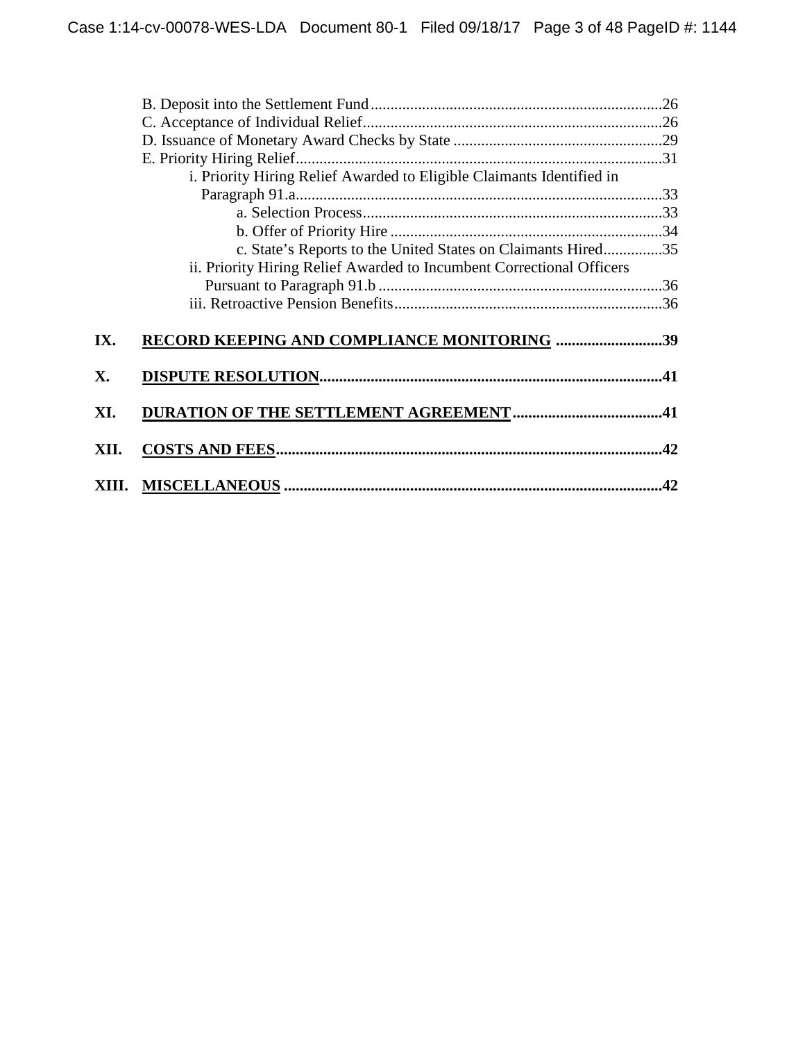|           | i. Priority Hiring Relief Awarded to Eligible Claimants Identified in |  |
|-----------|-----------------------------------------------------------------------|--|
|           |                                                                       |  |
|           |                                                                       |  |
|           |                                                                       |  |
|           | c. State's Reports to the United States on Claimants Hired35          |  |
|           | ii. Priority Hiring Relief Awarded to Incumbent Correctional Officers |  |
|           |                                                                       |  |
|           |                                                                       |  |
|           |                                                                       |  |
| IX.       | RECORD KEEPING AND COMPLIANCE MONITORING 39                           |  |
|           |                                                                       |  |
| X.        |                                                                       |  |
|           |                                                                       |  |
| XI.       |                                                                       |  |
|           |                                                                       |  |
| XII.      |                                                                       |  |
|           |                                                                       |  |
| XII<br>П. |                                                                       |  |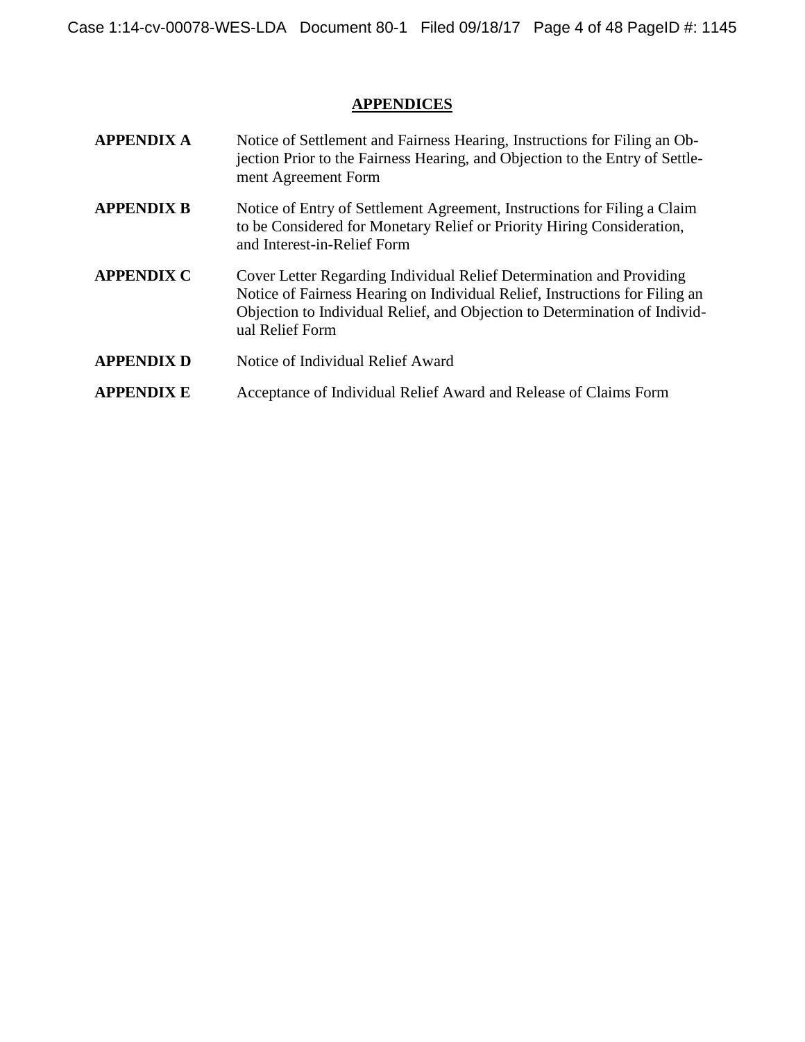# **APPENDICES**

| <b>APPENDIX A</b> | Notice of Settlement and Fairness Hearing, Instructions for Filing an Ob-<br>jection Prior to the Fairness Hearing, and Objection to the Entry of Settle-<br>ment Agreement Form                                                                     |
|-------------------|------------------------------------------------------------------------------------------------------------------------------------------------------------------------------------------------------------------------------------------------------|
| <b>APPENDIX B</b> | Notice of Entry of Settlement Agreement, Instructions for Filing a Claim<br>to be Considered for Monetary Relief or Priority Hiring Consideration,<br>and Interest-in-Relief Form                                                                    |
| <b>APPENDIX C</b> | Cover Letter Regarding Individual Relief Determination and Providing<br>Notice of Fairness Hearing on Individual Relief, Instructions for Filing an<br>Objection to Individual Relief, and Objection to Determination of Individ-<br>ual Relief Form |
| <b>APPENDIX D</b> | Notice of Individual Relief Award                                                                                                                                                                                                                    |
| <b>APPENDIX E</b> | Acceptance of Individual Relief Award and Release of Claims Form                                                                                                                                                                                     |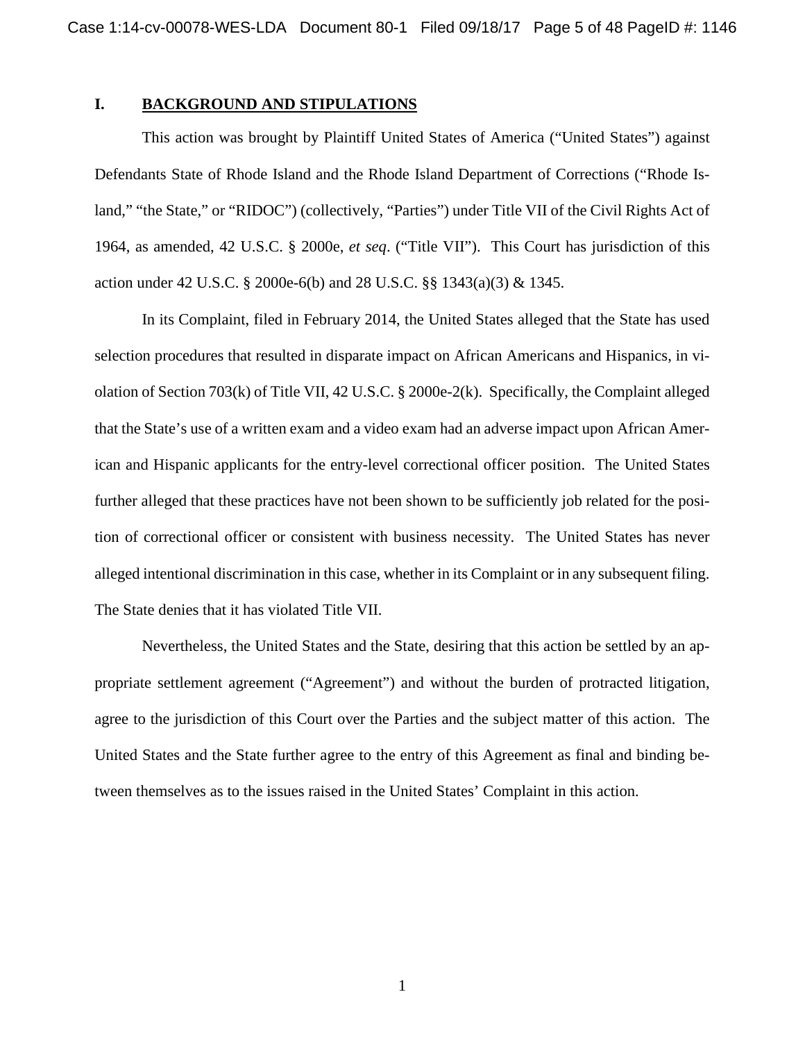### **I. BACKGROUND AND STIPULATIONS**

This action was brought by Plaintiff United States of America ("United States") against Defendants State of Rhode Island and the Rhode Island Department of Corrections ("Rhode Island," "the State," or "RIDOC") (collectively, "Parties") under Title VII of the Civil Rights Act of 1964, as amended, 42 U.S.C. § 2000e, *et seq*. ("Title VII"). This Court has jurisdiction of this action under 42 U.S.C. § 2000e-6(b) and 28 U.S.C. §§ 1343(a)(3) & 1345.

In its Complaint, filed in February 2014, the United States alleged that the State has used selection procedures that resulted in disparate impact on African Americans and Hispanics, in violation of Section 703(k) of Title VII, 42 U.S.C. § 2000e-2(k). Specifically, the Complaint alleged that the State's use of a written exam and a video exam had an adverse impact upon African American and Hispanic applicants for the entry-level correctional officer position. The United States further alleged that these practices have not been shown to be sufficiently job related for the position of correctional officer or consistent with business necessity. The United States has never alleged intentional discrimination in this case, whether in its Complaint or in any subsequent filing. The State denies that it has violated Title VII.

Nevertheless, the United States and the State, desiring that this action be settled by an appropriate settlement agreement ("Agreement") and without the burden of protracted litigation, agree to the jurisdiction of this Court over the Parties and the subject matter of this action. The United States and the State further agree to the entry of this Agreement as final and binding between themselves as to the issues raised in the United States' Complaint in this action.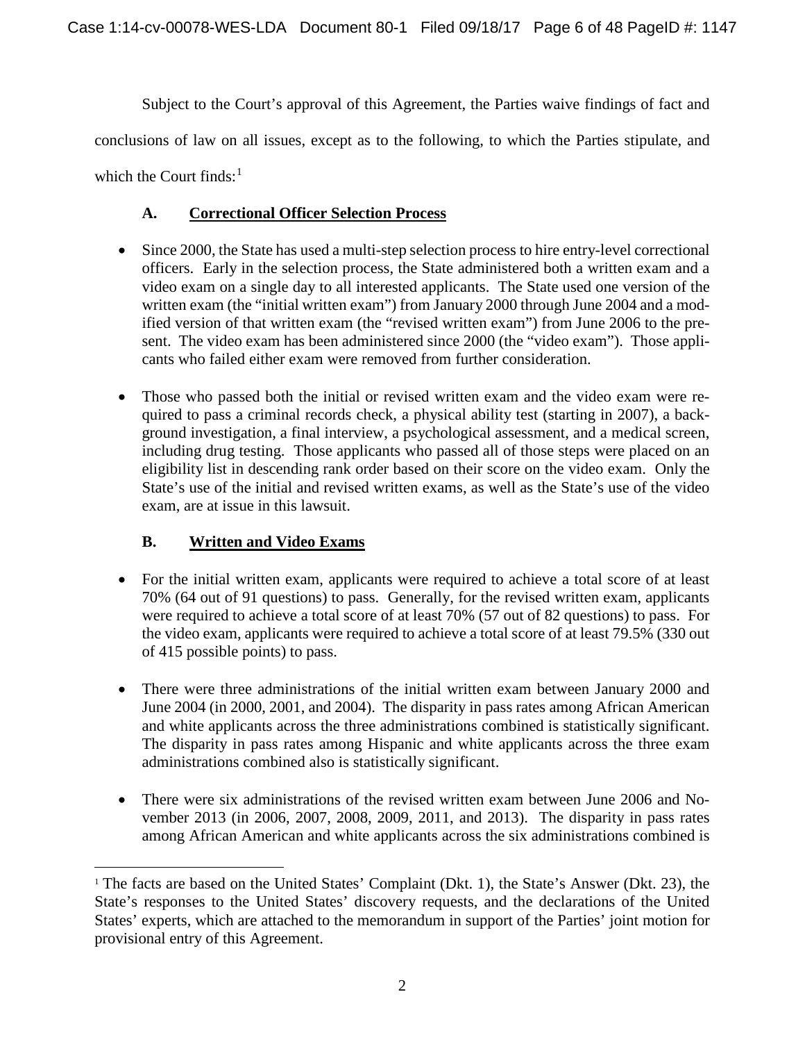Subject to the Court's approval of this Agreement, the Parties waive findings of fact and conclusions of law on all issues, except as to the following, to which the Parties stipulate, and which the Court finds: $<sup>1</sup>$  $<sup>1</sup>$  $<sup>1</sup>$ </sup>

## **A. Correctional Officer Selection Process**

- Since 2000, the State has used a multi-step selection process to hire entry-level correctional officers. Early in the selection process, the State administered both a written exam and a video exam on a single day to all interested applicants. The State used one version of the written exam (the "initial written exam") from January 2000 through June 2004 and a modified version of that written exam (the "revised written exam") from June 2006 to the present. The video exam has been administered since 2000 (the "video exam"). Those applicants who failed either exam were removed from further consideration.
- Those who passed both the initial or revised written exam and the video exam were required to pass a criminal records check, a physical ability test (starting in 2007), a background investigation, a final interview, a psychological assessment, and a medical screen, including drug testing. Those applicants who passed all of those steps were placed on an eligibility list in descending rank order based on their score on the video exam. Only the State's use of the initial and revised written exams, as well as the State's use of the video exam, are at issue in this lawsuit.

## **B. Written and Video Exams**

- For the initial written exam, applicants were required to achieve a total score of at least 70% (64 out of 91 questions) to pass. Generally, for the revised written exam, applicants were required to achieve a total score of at least 70% (57 out of 82 questions) to pass. For the video exam, applicants were required to achieve a total score of at least 79.5% (330 out of 415 possible points) to pass.
- There were three administrations of the initial written exam between January 2000 and June 2004 (in 2000, 2001, and 2004). The disparity in pass rates among African American and white applicants across the three administrations combined is statistically significant. The disparity in pass rates among Hispanic and white applicants across the three exam administrations combined also is statistically significant.
- There were six administrations of the revised written exam between June 2006 and November 2013 (in 2006, 2007, 2008, 2009, 2011, and 2013). The disparity in pass rates among African American and white applicants across the six administrations combined is

<span id="page-5-0"></span><sup>&</sup>lt;sup>1</sup> The facts are based on the United States' Complaint (Dkt. 1), the State's Answer (Dkt. 23), the State's responses to the United States' discovery requests, and the declarations of the United States' experts, which are attached to the memorandum in support of the Parties' joint motion for provisional entry of this Agreement.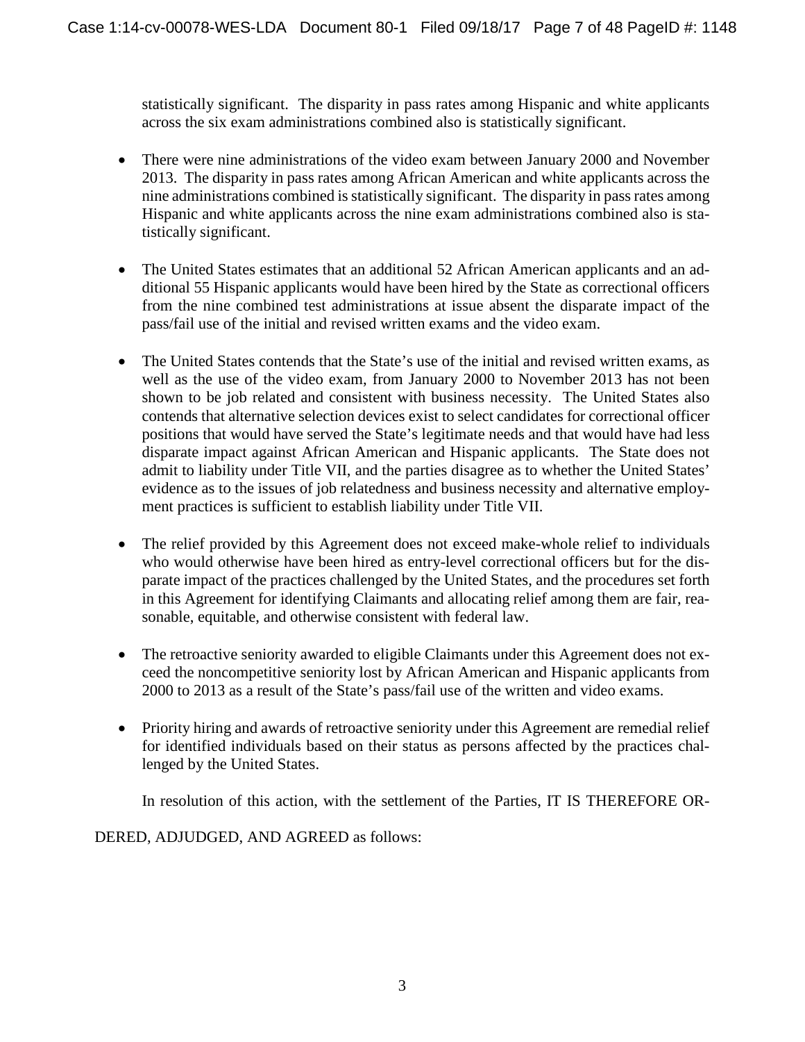statistically significant. The disparity in pass rates among Hispanic and white applicants across the six exam administrations combined also is statistically significant.

- There were nine administrations of the video exam between January 2000 and November 2013. The disparity in pass rates among African American and white applicants across the nine administrations combined is statistically significant. The disparity in pass rates among Hispanic and white applicants across the nine exam administrations combined also is statistically significant.
- The United States estimates that an additional 52 African American applicants and an additional 55 Hispanic applicants would have been hired by the State as correctional officers from the nine combined test administrations at issue absent the disparate impact of the pass/fail use of the initial and revised written exams and the video exam.
- The United States contends that the State's use of the initial and revised written exams, as well as the use of the video exam, from January 2000 to November 2013 has not been shown to be job related and consistent with business necessity. The United States also contends that alternative selection devices exist to select candidates for correctional officer positions that would have served the State's legitimate needs and that would have had less disparate impact against African American and Hispanic applicants. The State does not admit to liability under Title VII, and the parties disagree as to whether the United States' evidence as to the issues of job relatedness and business necessity and alternative employment practices is sufficient to establish liability under Title VII.
- The relief provided by this Agreement does not exceed make-whole relief to individuals who would otherwise have been hired as entry-level correctional officers but for the disparate impact of the practices challenged by the United States, and the procedures set forth in this Agreement for identifying Claimants and allocating relief among them are fair, reasonable, equitable, and otherwise consistent with federal law.
- The retroactive seniority awarded to eligible Claimants under this Agreement does not exceed the noncompetitive seniority lost by African American and Hispanic applicants from 2000 to 2013 as a result of the State's pass/fail use of the written and video exams.
- Priority hiring and awards of retroactive seniority under this Agreement are remedial relief for identified individuals based on their status as persons affected by the practices challenged by the United States.

In resolution of this action, with the settlement of the Parties, IT IS THEREFORE OR-

DERED, ADJUDGED, AND AGREED as follows: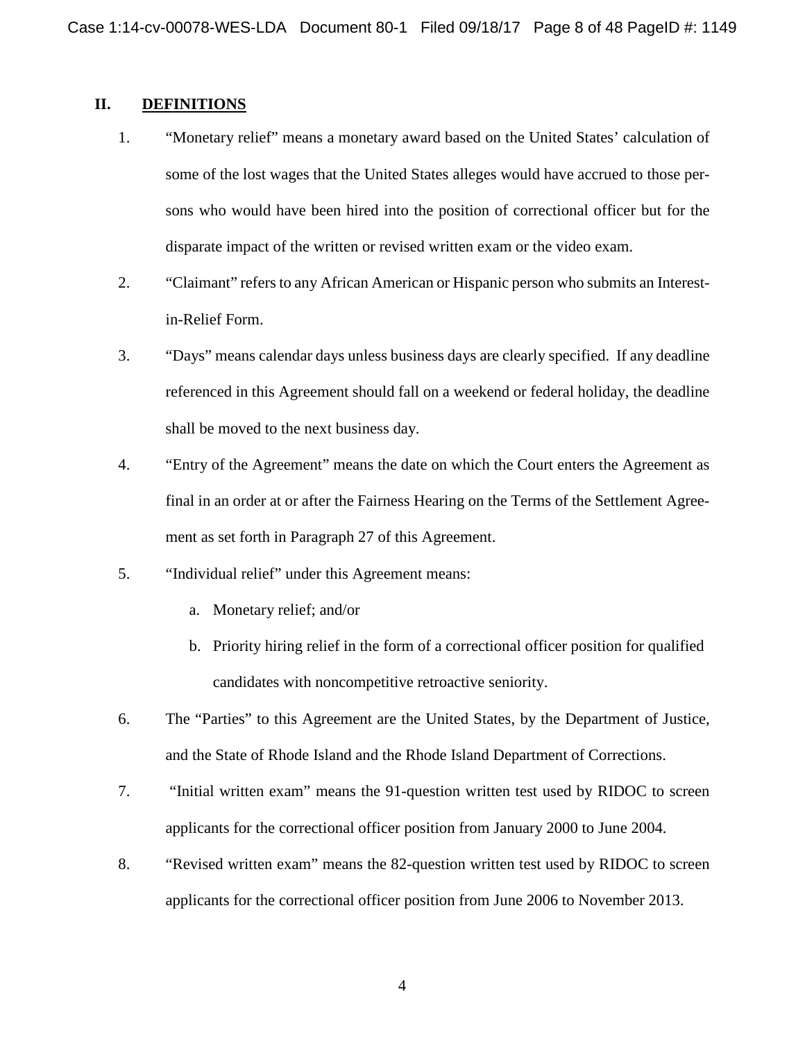## **II. DEFINITIONS**

- 1. "Monetary relief" means a monetary award based on the United States' calculation of some of the lost wages that the United States alleges would have accrued to those persons who would have been hired into the position of correctional officer but for the disparate impact of the written or revised written exam or the video exam.
- 2. "Claimant" refers to any African American or Hispanic person who submits an Interestin-Relief Form.
- 3. "Days" means calendar days unless business days are clearly specified. If any deadline referenced in this Agreement should fall on a weekend or federal holiday, the deadline shall be moved to the next business day.
- 4. "Entry of the Agreement" means the date on which the Court enters the Agreement as final in an order at or after the Fairness Hearing on the Terms of the Settlement Agreement as set forth in Paragraph 27 of this Agreement.
- 5. "Individual relief" under this Agreement means:
	- a. Monetary relief; and/or
	- b. Priority hiring relief in the form of a correctional officer position for qualified candidates with noncompetitive retroactive seniority.
- 6. The "Parties" to this Agreement are the United States, by the Department of Justice, and the State of Rhode Island and the Rhode Island Department of Corrections.
- 7. "Initial written exam" means the 91-question written test used by RIDOC to screen applicants for the correctional officer position from January 2000 to June 2004.
- 8. "Revised written exam" means the 82-question written test used by RIDOC to screen applicants for the correctional officer position from June 2006 to November 2013.

4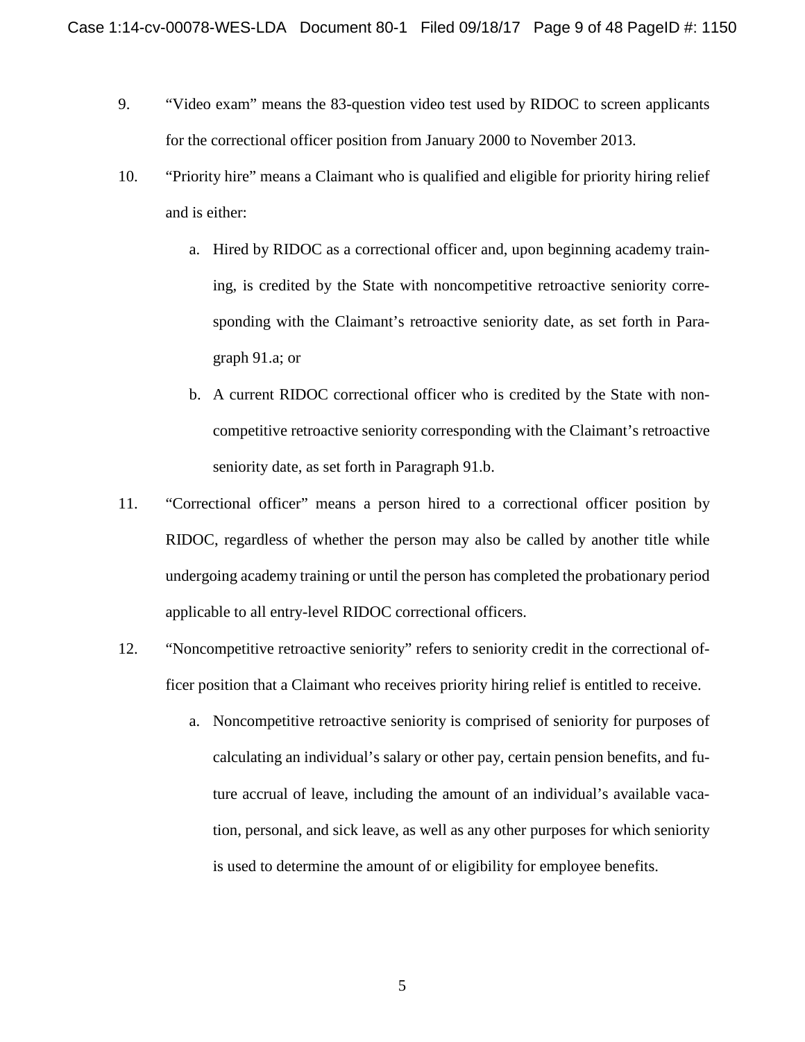- 9. "Video exam" means the 83-question video test used by RIDOC to screen applicants for the correctional officer position from January 2000 to November 2013.
- 10. "Priority hire" means a Claimant who is qualified and eligible for priority hiring relief and is either:
	- a. Hired by RIDOC as a correctional officer and, upon beginning academy training, is credited by the State with noncompetitive retroactive seniority corresponding with the Claimant's retroactive seniority date, as set forth in Paragraph 91.a; or
	- b. A current RIDOC correctional officer who is credited by the State with noncompetitive retroactive seniority corresponding with the Claimant's retroactive seniority date, as set forth in Paragraph 91.b.
- 11. "Correctional officer" means a person hired to a correctional officer position by RIDOC, regardless of whether the person may also be called by another title while undergoing academy training or until the person has completed the probationary period applicable to all entry-level RIDOC correctional officers.
- 12. "Noncompetitive retroactive seniority" refers to seniority credit in the correctional officer position that a Claimant who receives priority hiring relief is entitled to receive.
	- a. Noncompetitive retroactive seniority is comprised of seniority for purposes of calculating an individual's salary or other pay, certain pension benefits, and future accrual of leave, including the amount of an individual's available vacation, personal, and sick leave, as well as any other purposes for which seniority is used to determine the amount of or eligibility for employee benefits.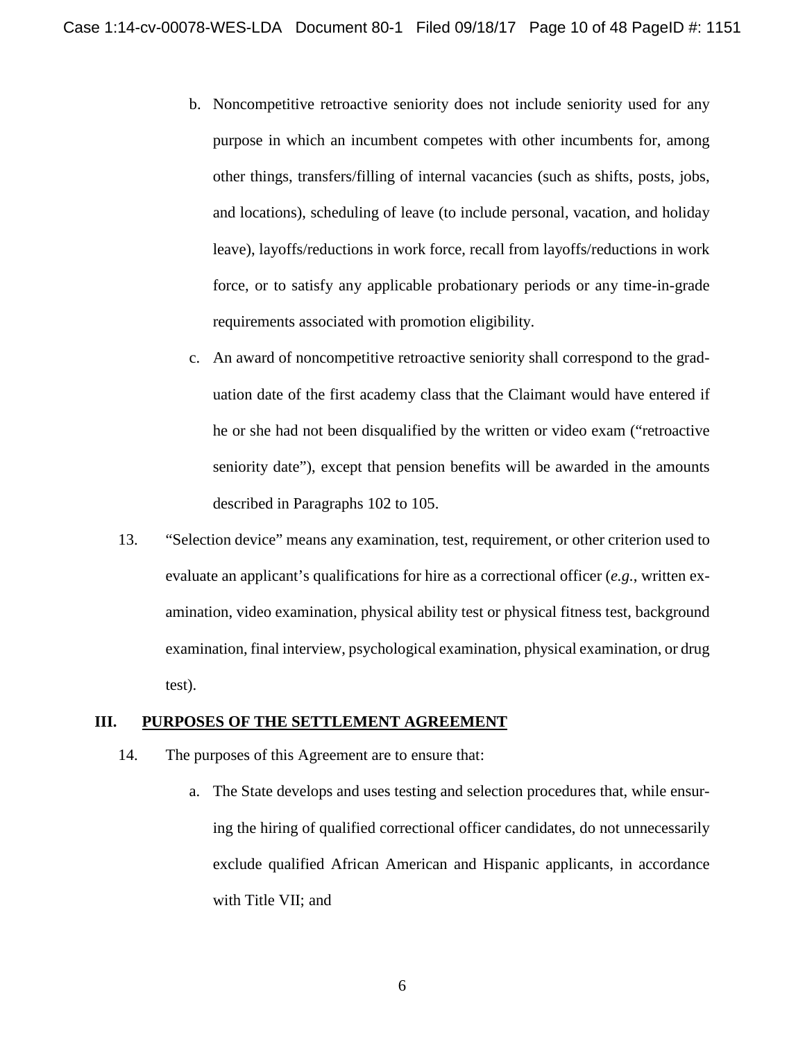- b. Noncompetitive retroactive seniority does not include seniority used for any purpose in which an incumbent competes with other incumbents for, among other things, transfers/filling of internal vacancies (such as shifts, posts, jobs, and locations), scheduling of leave (to include personal, vacation, and holiday leave), layoffs/reductions in work force, recall from layoffs/reductions in work force, or to satisfy any applicable probationary periods or any time-in-grade requirements associated with promotion eligibility.
- c. An award of noncompetitive retroactive seniority shall correspond to the graduation date of the first academy class that the Claimant would have entered if he or she had not been disqualified by the written or video exam ("retroactive seniority date"), except that pension benefits will be awarded in the amounts described in Paragraphs 102 to 105.
- 13. "Selection device" means any examination, test, requirement, or other criterion used to evaluate an applicant's qualifications for hire as a correctional officer (*e.g.*, written examination, video examination, physical ability test or physical fitness test, background examination, final interview, psychological examination, physical examination, or drug test).

#### **III. PURPOSES OF THE SETTLEMENT AGREEMENT**

- 14. The purposes of this Agreement are to ensure that:
	- a. The State develops and uses testing and selection procedures that, while ensuring the hiring of qualified correctional officer candidates, do not unnecessarily exclude qualified African American and Hispanic applicants, in accordance with Title VII; and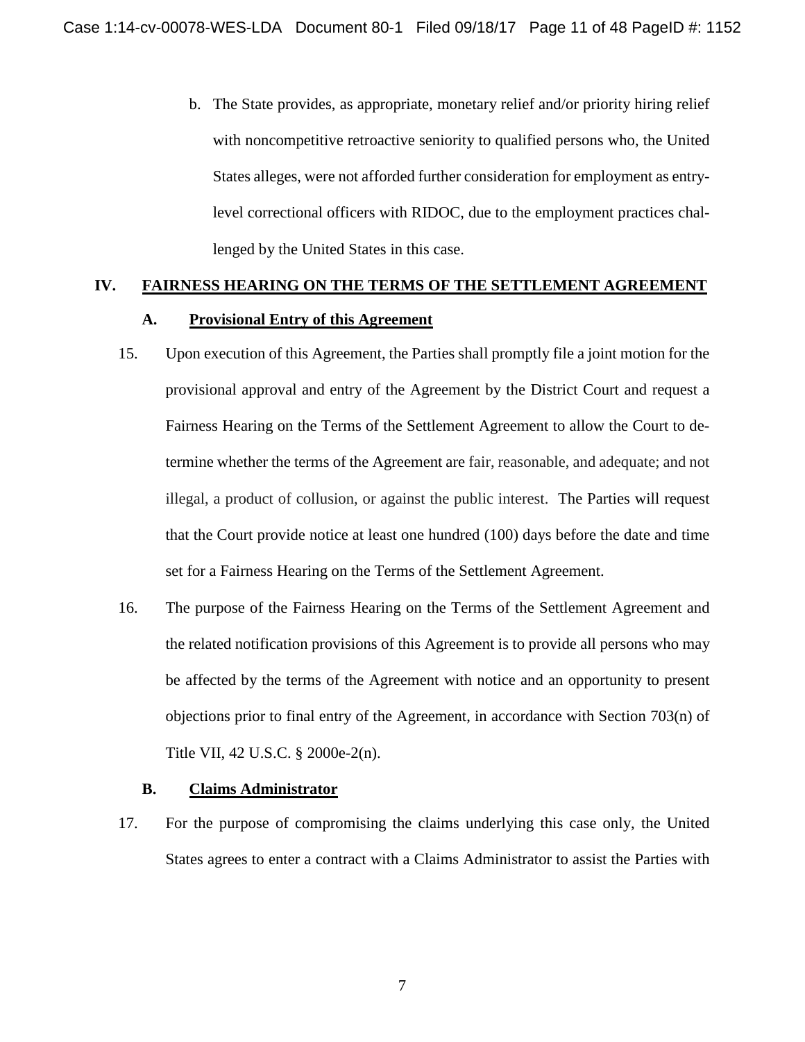b. The State provides, as appropriate, monetary relief and/or priority hiring relief with noncompetitive retroactive seniority to qualified persons who, the United States alleges, were not afforded further consideration for employment as entrylevel correctional officers with RIDOC, due to the employment practices challenged by the United States in this case.

# **IV. FAIRNESS HEARING ON THE TERMS OF THE SETTLEMENT AGREEMENT**

#### **A. Provisional Entry of this Agreement**

- 15. Upon execution of this Agreement, the Parties shall promptly file a joint motion for the provisional approval and entry of the Agreement by the District Court and request a Fairness Hearing on the Terms of the Settlement Agreement to allow the Court to determine whether the terms of the Agreement are fair, reasonable, and adequate; and not illegal, a product of collusion, or against the public interest. The Parties will request that the Court provide notice at least one hundred (100) days before the date and time set for a Fairness Hearing on the Terms of the Settlement Agreement.
- 16. The purpose of the Fairness Hearing on the Terms of the Settlement Agreement and the related notification provisions of this Agreement is to provide all persons who may be affected by the terms of the Agreement with notice and an opportunity to present objections prior to final entry of the Agreement, in accordance with Section 703(n) of Title VII, 42 U.S.C. § 2000e-2(n).

## **B. Claims Administrator**

17. For the purpose of compromising the claims underlying this case only, the United States agrees to enter a contract with a Claims Administrator to assist the Parties with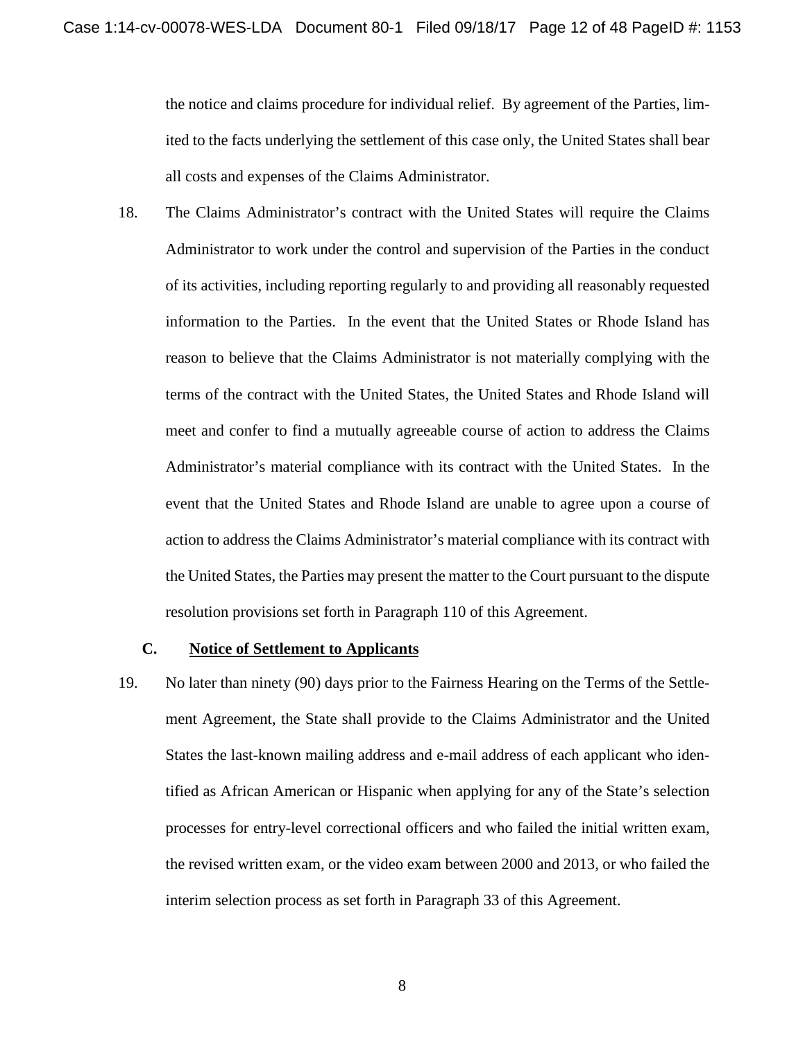the notice and claims procedure for individual relief. By agreement of the Parties, limited to the facts underlying the settlement of this case only, the United States shall bear all costs and expenses of the Claims Administrator.

18. The Claims Administrator's contract with the United States will require the Claims Administrator to work under the control and supervision of the Parties in the conduct of its activities, including reporting regularly to and providing all reasonably requested information to the Parties. In the event that the United States or Rhode Island has reason to believe that the Claims Administrator is not materially complying with the terms of the contract with the United States, the United States and Rhode Island will meet and confer to find a mutually agreeable course of action to address the Claims Administrator's material compliance with its contract with the United States. In the event that the United States and Rhode Island are unable to agree upon a course of action to address the Claims Administrator's material compliance with its contract with the United States, the Parties may present the matter to the Court pursuant to the dispute resolution provisions set forth in Paragraph 110 of this Agreement.

#### **C. Notice of Settlement to Applicants**

19. No later than ninety (90) days prior to the Fairness Hearing on the Terms of the Settlement Agreement, the State shall provide to the Claims Administrator and the United States the last-known mailing address and e-mail address of each applicant who identified as African American or Hispanic when applying for any of the State's selection processes for entry-level correctional officers and who failed the initial written exam, the revised written exam, or the video exam between 2000 and 2013, or who failed the interim selection process as set forth in Paragraph 33 of this Agreement.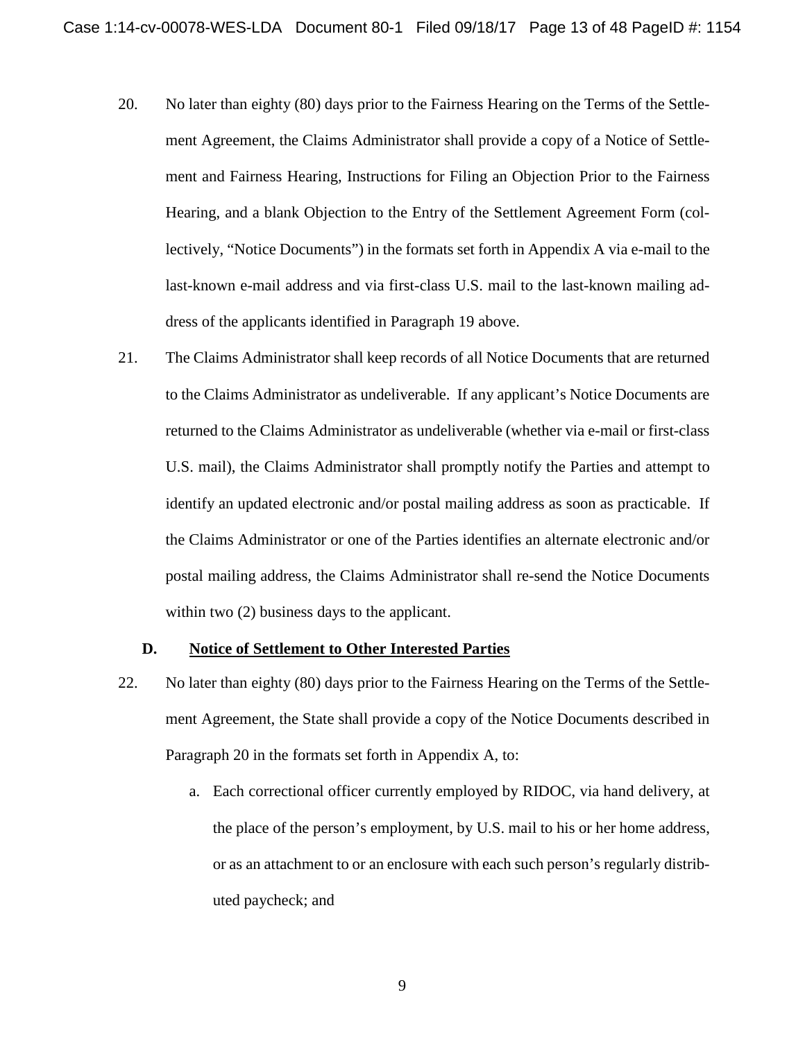- 20. No later than eighty (80) days prior to the Fairness Hearing on the Terms of the Settlement Agreement, the Claims Administrator shall provide a copy of a Notice of Settlement and Fairness Hearing, Instructions for Filing an Objection Prior to the Fairness Hearing, and a blank Objection to the Entry of the Settlement Agreement Form (collectively, "Notice Documents") in the formats set forth in Appendix A via e-mail to the last-known e-mail address and via first-class U.S. mail to the last-known mailing address of the applicants identified in Paragraph 19 above.
- 21. The Claims Administrator shall keep records of all Notice Documents that are returned to the Claims Administrator as undeliverable. If any applicant's Notice Documents are returned to the Claims Administrator as undeliverable (whether via e-mail or first-class U.S. mail), the Claims Administrator shall promptly notify the Parties and attempt to identify an updated electronic and/or postal mailing address as soon as practicable. If the Claims Administrator or one of the Parties identifies an alternate electronic and/or postal mailing address, the Claims Administrator shall re-send the Notice Documents within two  $(2)$  business days to the applicant.

### **D. Notice of Settlement to Other Interested Parties**

- 22. No later than eighty (80) days prior to the Fairness Hearing on the Terms of the Settlement Agreement, the State shall provide a copy of the Notice Documents described in Paragraph 20 in the formats set forth in Appendix A, to:
	- a. Each correctional officer currently employed by RIDOC, via hand delivery, at the place of the person's employment, by U.S. mail to his or her home address, or as an attachment to or an enclosure with each such person's regularly distributed paycheck; and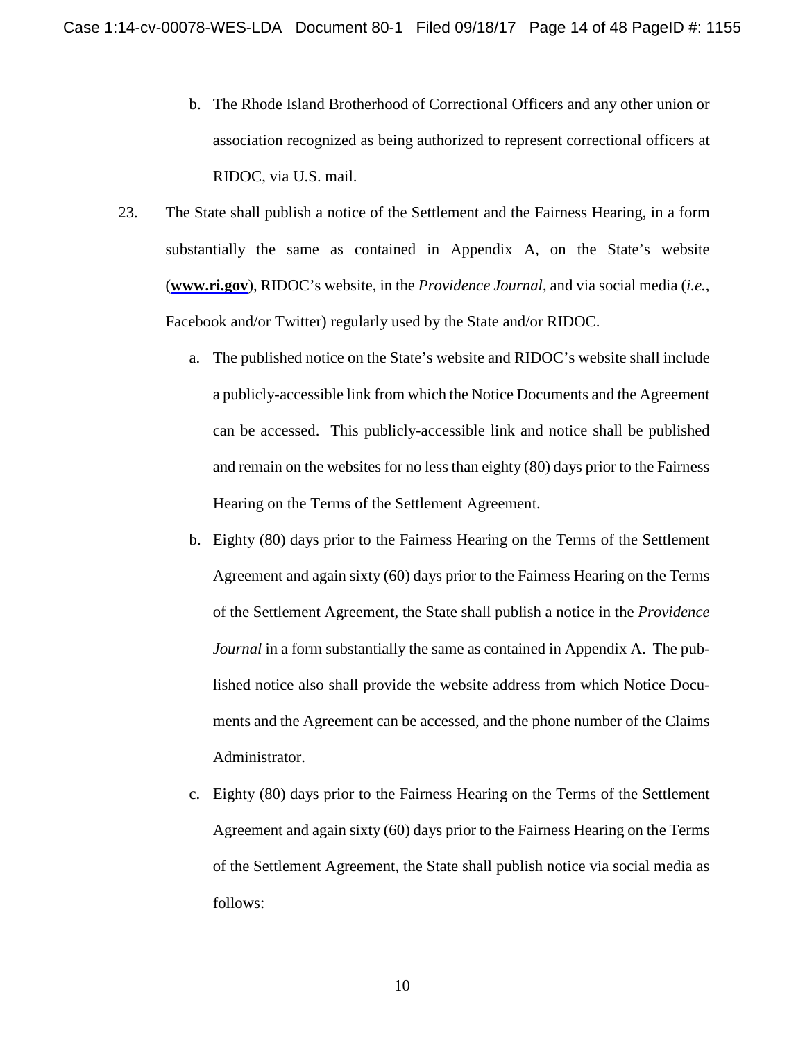- b. The Rhode Island Brotherhood of Correctional Officers and any other union or association recognized as being authorized to represent correctional officers at RIDOC, via U.S. mail.
- 23. The State shall publish a notice of the Settlement and the Fairness Hearing, in a form substantially the same as contained in Appendix A, on the State's website (**www.ri.gov**), RIDOC's website, in the *Providence Journal*, and via social media (*i.e.*, Facebook and/or Twitter) regularly used by the State and/or RIDOC.
	- a. The published notice on the State's website and RIDOC's website shall include a publicly-accessible link from which the Notice Documents and the Agreement can be accessed. This publicly-accessible link and notice shall be published and remain on the websites for no less than eighty (80) days prior to the Fairness Hearing on the Terms of the Settlement Agreement.
	- b. Eighty (80) days prior to the Fairness Hearing on the Terms of the Settlement Agreement and again sixty (60) days prior to the Fairness Hearing on the Terms of the Settlement Agreement, the State shall publish a notice in the *Providence Journal* in a form substantially the same as contained in Appendix A. The published notice also shall provide the website address from which Notice Documents and the Agreement can be accessed, and the phone number of the Claims Administrator.
	- c. Eighty (80) days prior to the Fairness Hearing on the Terms of the Settlement Agreement and again sixty (60) days prior to the Fairness Hearing on the Terms of the Settlement Agreement, the State shall publish notice via social media as follows: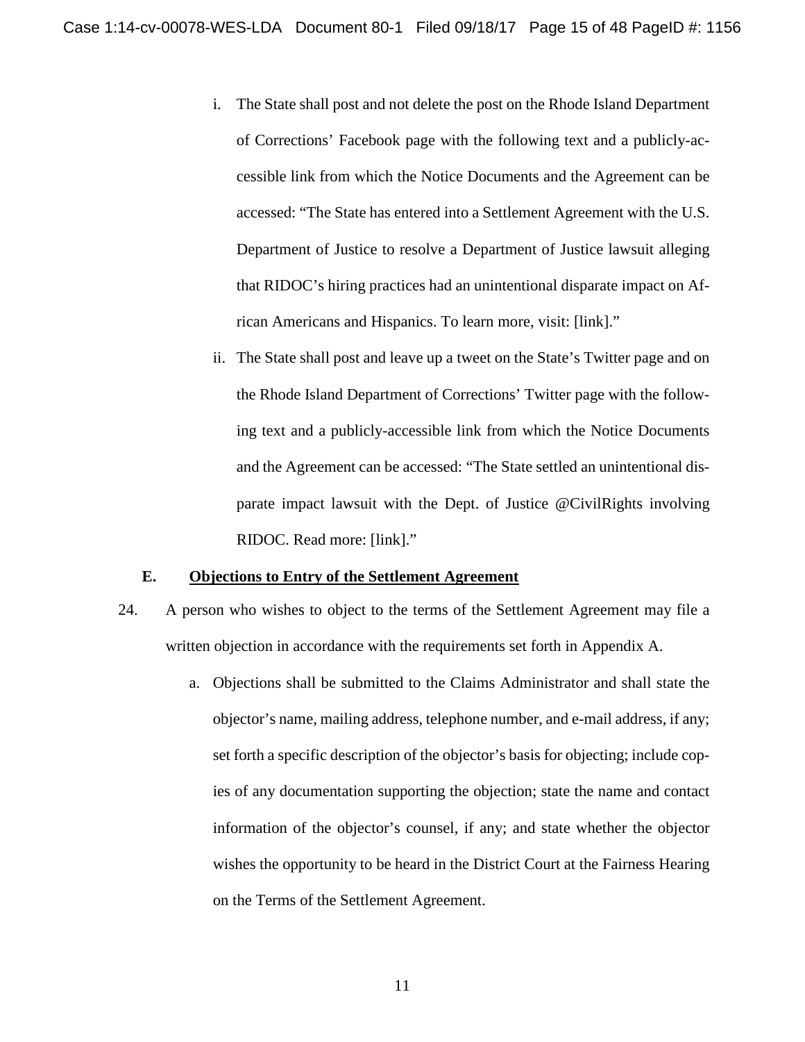- i. The State shall post and not delete the post on the Rhode Island Department of Corrections' Facebook page with the following text and a publicly-accessible link from which the Notice Documents and the Agreement can be accessed: "The State has entered into a Settlement Agreement with the U.S. Department of Justice to resolve a Department of Justice lawsuit alleging that RIDOC's hiring practices had an unintentional disparate impact on African Americans and Hispanics. To learn more, visit: [link]."
- ii. The State shall post and leave up a tweet on the State's Twitter page and on the Rhode Island Department of Corrections' Twitter page with the following text and a publicly-accessible link from which the Notice Documents and the Agreement can be accessed: "The State settled an unintentional disparate impact lawsuit with the Dept. of Justice @CivilRights involving RIDOC. Read more: [link]."

#### **E. Objections to Entry of the Settlement Agreement**

- 24. A person who wishes to object to the terms of the Settlement Agreement may file a written objection in accordance with the requirements set forth in Appendix A.
	- a. Objections shall be submitted to the Claims Administrator and shall state the objector's name, mailing address, telephone number, and e-mail address, if any; set forth a specific description of the objector's basis for objecting; include copies of any documentation supporting the objection; state the name and contact information of the objector's counsel, if any; and state whether the objector wishes the opportunity to be heard in the District Court at the Fairness Hearing on the Terms of the Settlement Agreement.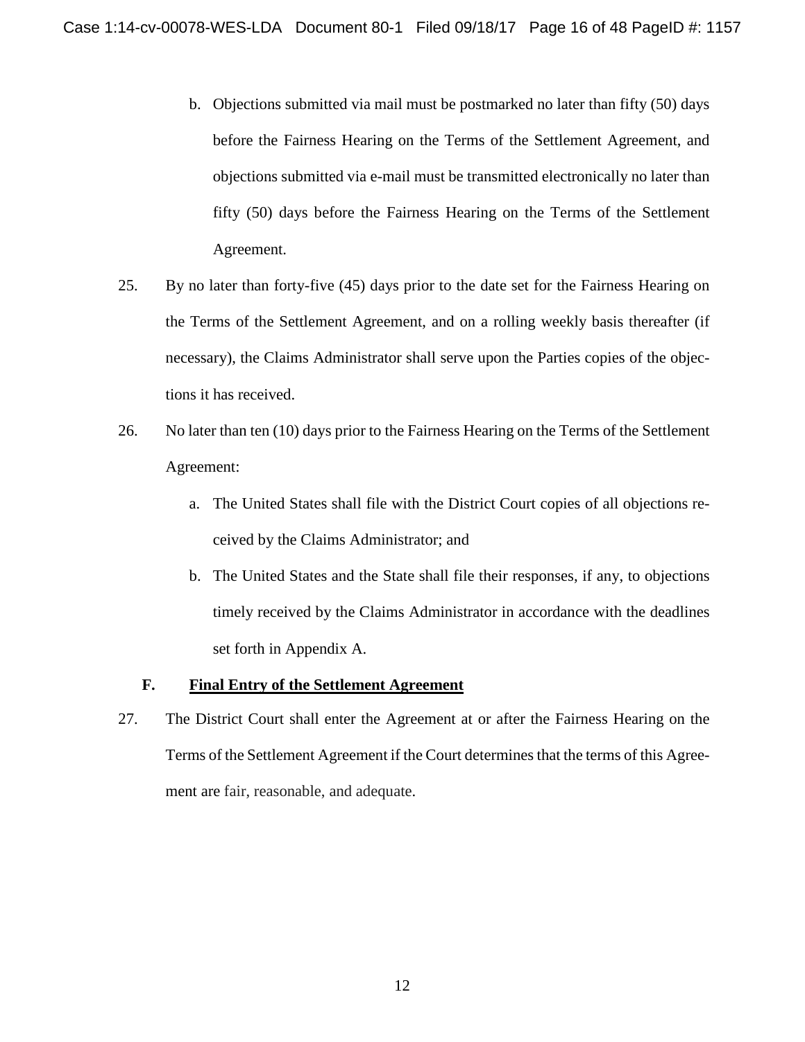- b. Objections submitted via mail must be postmarked no later than fifty (50) days before the Fairness Hearing on the Terms of the Settlement Agreement, and objections submitted via e-mail must be transmitted electronically no later than fifty (50) days before the Fairness Hearing on the Terms of the Settlement Agreement.
- 25. By no later than forty-five (45) days prior to the date set for the Fairness Hearing on the Terms of the Settlement Agreement, and on a rolling weekly basis thereafter (if necessary), the Claims Administrator shall serve upon the Parties copies of the objections it has received.
- 26. No later than ten (10) days prior to the Fairness Hearing on the Terms of the Settlement Agreement:
	- a. The United States shall file with the District Court copies of all objections received by the Claims Administrator; and
	- b. The United States and the State shall file their responses, if any, to objections timely received by the Claims Administrator in accordance with the deadlines set forth in Appendix A.

## **F. Final Entry of the Settlement Agreement**

27. The District Court shall enter the Agreement at or after the Fairness Hearing on the Terms of the Settlement Agreement if the Court determinesthat the terms of this Agreement are fair, reasonable, and adequate.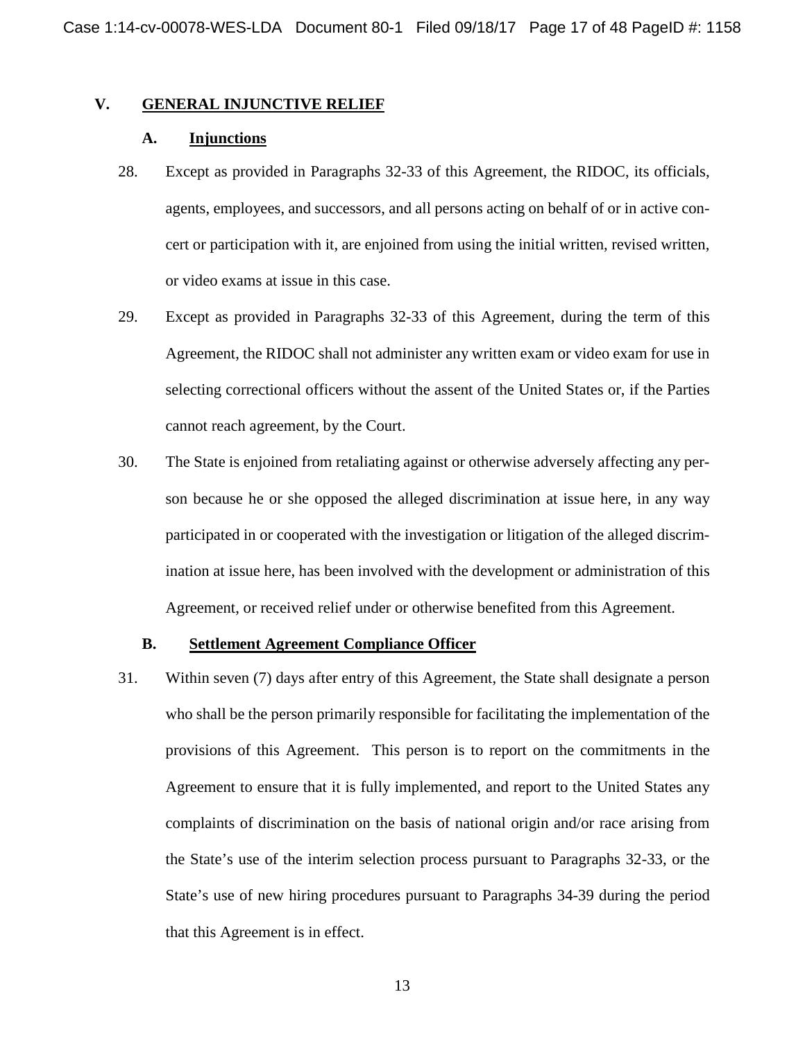## **V. GENERAL INJUNCTIVE RELIEF**

#### **A. Injunctions**

- 28. Except as provided in Paragraphs 32-33 of this Agreement, the RIDOC, its officials, agents, employees, and successors, and all persons acting on behalf of or in active concert or participation with it, are enjoined from using the initial written, revised written, or video exams at issue in this case.
- 29. Except as provided in Paragraphs 32-33 of this Agreement, during the term of this Agreement, the RIDOC shall not administer any written exam or video exam for use in selecting correctional officers without the assent of the United States or, if the Parties cannot reach agreement, by the Court.
- 30. The State is enjoined from retaliating against or otherwise adversely affecting any person because he or she opposed the alleged discrimination at issue here, in any way participated in or cooperated with the investigation or litigation of the alleged discrimination at issue here, has been involved with the development or administration of this Agreement, or received relief under or otherwise benefited from this Agreement.

#### **B. Settlement Agreement Compliance Officer**

31. Within seven (7) days after entry of this Agreement, the State shall designate a person who shall be the person primarily responsible for facilitating the implementation of the provisions of this Agreement. This person is to report on the commitments in the Agreement to ensure that it is fully implemented, and report to the United States any complaints of discrimination on the basis of national origin and/or race arising from the State's use of the interim selection process pursuant to Paragraphs 32-33, or the State's use of new hiring procedures pursuant to Paragraphs 34-39 during the period that this Agreement is in effect.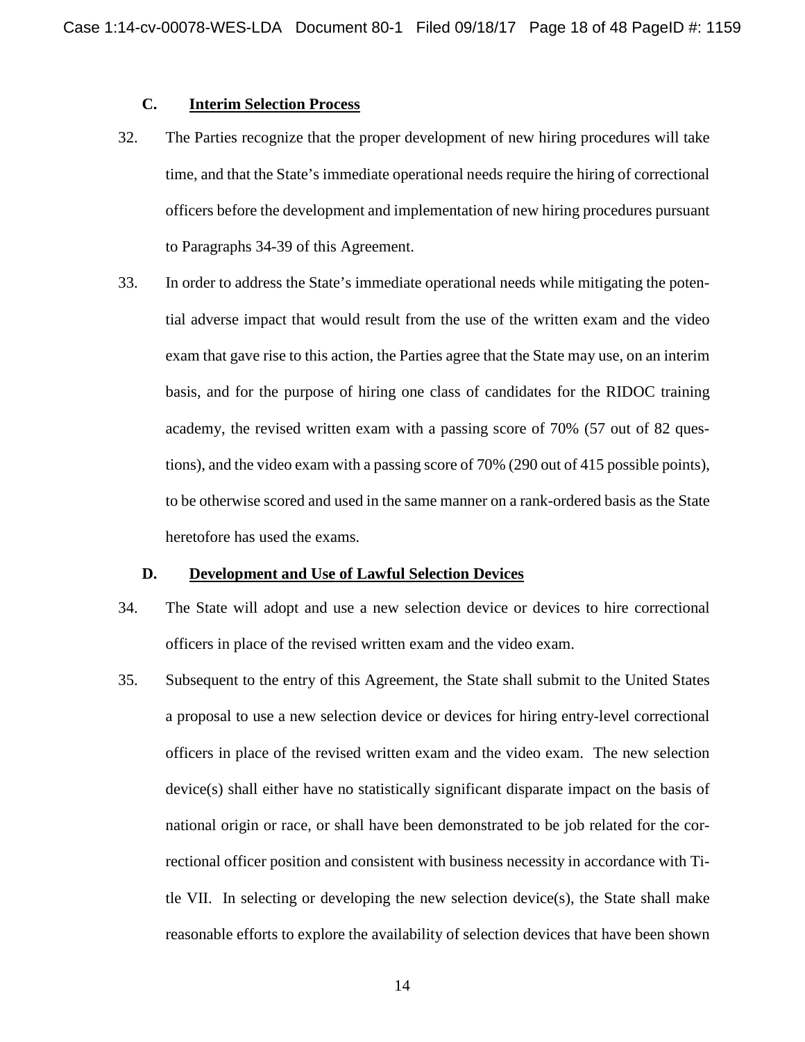## **C. Interim Selection Process**

- 32. The Parties recognize that the proper development of new hiring procedures will take time, and that the State's immediate operational needs require the hiring of correctional officers before the development and implementation of new hiring procedures pursuant to Paragraphs 34-39 of this Agreement.
- 33. In order to address the State's immediate operational needs while mitigating the potential adverse impact that would result from the use of the written exam and the video exam that gave rise to this action, the Parties agree that the State may use, on an interim basis, and for the purpose of hiring one class of candidates for the RIDOC training academy, the revised written exam with a passing score of 70% (57 out of 82 questions), and the video exam with a passing score of 70% (290 out of 415 possible points), to be otherwise scored and used in the same manner on a rank-ordered basis as the State heretofore has used the exams.

#### **D. Development and Use of Lawful Selection Devices**

- 34. The State will adopt and use a new selection device or devices to hire correctional officers in place of the revised written exam and the video exam.
- 35. Subsequent to the entry of this Agreement, the State shall submit to the United States a proposal to use a new selection device or devices for hiring entry-level correctional officers in place of the revised written exam and the video exam. The new selection device(s) shall either have no statistically significant disparate impact on the basis of national origin or race, or shall have been demonstrated to be job related for the correctional officer position and consistent with business necessity in accordance with Title VII. In selecting or developing the new selection device(s), the State shall make reasonable efforts to explore the availability of selection devices that have been shown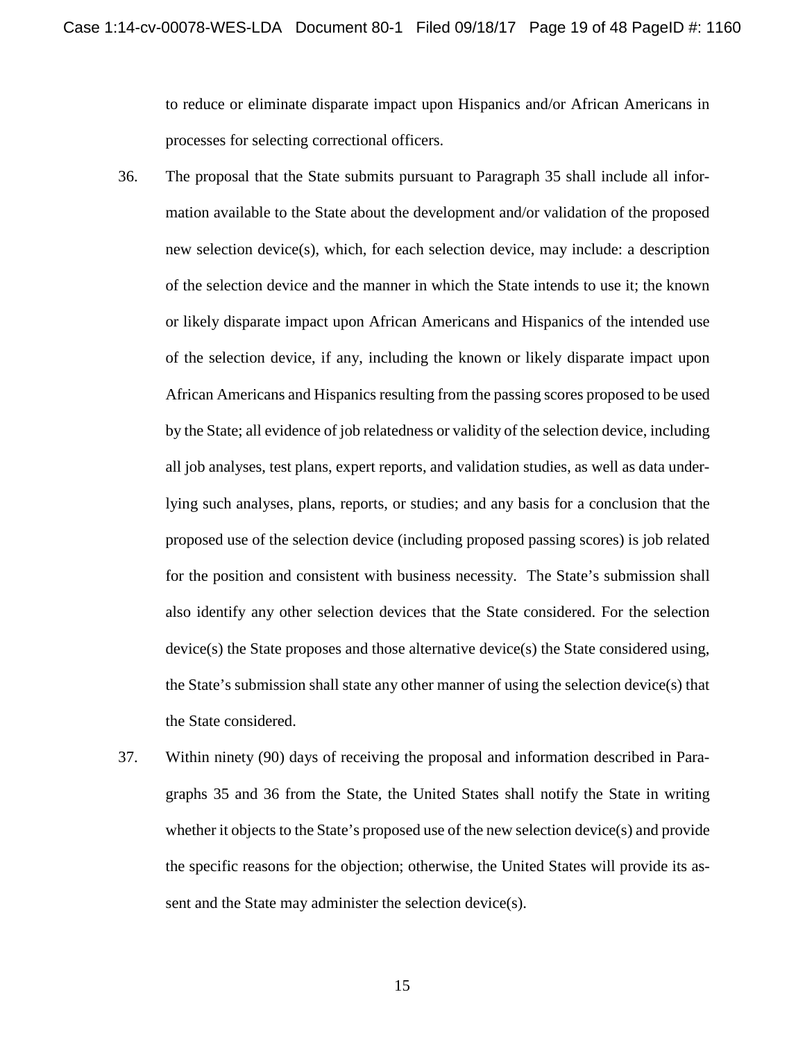to reduce or eliminate disparate impact upon Hispanics and/or African Americans in processes for selecting correctional officers.

- 36. The proposal that the State submits pursuant to Paragraph 35 shall include all information available to the State about the development and/or validation of the proposed new selection device(s), which, for each selection device, may include: a description of the selection device and the manner in which the State intends to use it; the known or likely disparate impact upon African Americans and Hispanics of the intended use of the selection device, if any, including the known or likely disparate impact upon African Americans and Hispanics resulting from the passing scores proposed to be used by the State; all evidence of job relatedness or validity of the selection device, including all job analyses, test plans, expert reports, and validation studies, as well as data underlying such analyses, plans, reports, or studies; and any basis for a conclusion that the proposed use of the selection device (including proposed passing scores) is job related for the position and consistent with business necessity. The State's submission shall also identify any other selection devices that the State considered. For the selection device(s) the State proposes and those alternative device(s) the State considered using, the State's submission shall state any other manner of using the selection device(s) that the State considered.
- 37. Within ninety (90) days of receiving the proposal and information described in Paragraphs 35 and 36 from the State, the United States shall notify the State in writing whether it objects to the State's proposed use of the new selection device(s) and provide the specific reasons for the objection; otherwise, the United States will provide its assent and the State may administer the selection device(s).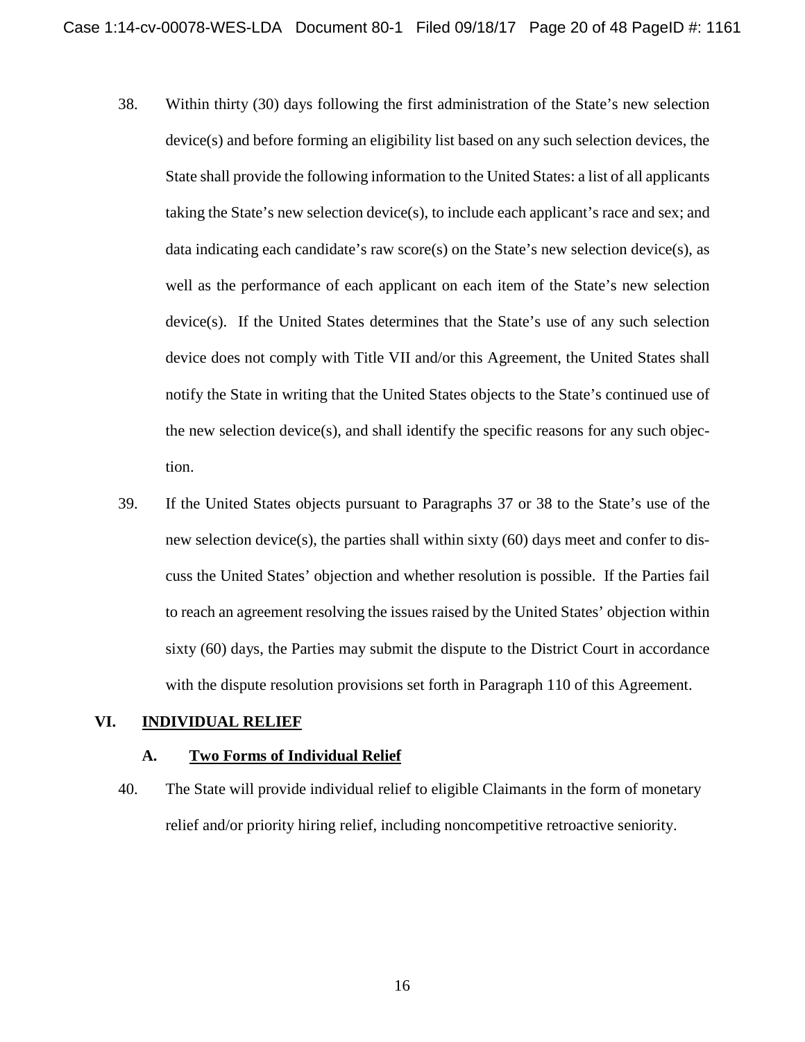- 38. Within thirty (30) days following the first administration of the State's new selection device(s) and before forming an eligibility list based on any such selection devices, the State shall provide the following information to the United States: a list of all applicants taking the State's new selection device(s), to include each applicant's race and sex; and data indicating each candidate's raw score(s) on the State's new selection device(s), as well as the performance of each applicant on each item of the State's new selection device(s). If the United States determines that the State's use of any such selection device does not comply with Title VII and/or this Agreement, the United States shall notify the State in writing that the United States objects to the State's continued use of the new selection device(s), and shall identify the specific reasons for any such objection.
- 39. If the United States objects pursuant to Paragraphs 37 or 38 to the State's use of the new selection device(s), the parties shall within sixty (60) days meet and confer to discuss the United States' objection and whether resolution is possible. If the Parties fail to reach an agreement resolving the issues raised by the United States' objection within sixty (60) days, the Parties may submit the dispute to the District Court in accordance with the dispute resolution provisions set forth in Paragraph 110 of this Agreement.

## **VI. INDIVIDUAL RELIEF**

#### **A. Two Forms of Individual Relief**

40. The State will provide individual relief to eligible Claimants in the form of monetary relief and/or priority hiring relief, including noncompetitive retroactive seniority.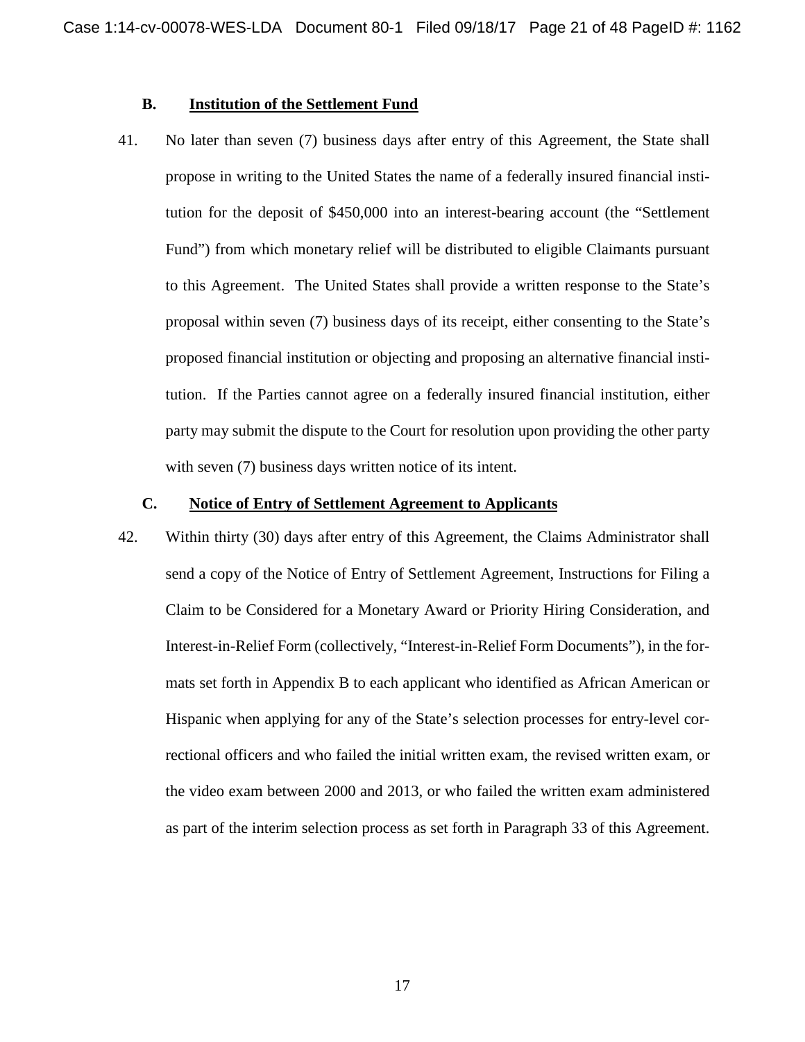## **B. Institution of the Settlement Fund**

41. No later than seven (7) business days after entry of this Agreement, the State shall propose in writing to the United States the name of a federally insured financial institution for the deposit of \$450,000 into an interest-bearing account (the "Settlement Fund") from which monetary relief will be distributed to eligible Claimants pursuant to this Agreement. The United States shall provide a written response to the State's proposal within seven (7) business days of its receipt, either consenting to the State's proposed financial institution or objecting and proposing an alternative financial institution. If the Parties cannot agree on a federally insured financial institution, either party may submit the dispute to the Court for resolution upon providing the other party with seven (7) business days written notice of its intent.

## **C. Notice of Entry of Settlement Agreement to Applicants**

42. Within thirty (30) days after entry of this Agreement, the Claims Administrator shall send a copy of the Notice of Entry of Settlement Agreement, Instructions for Filing a Claim to be Considered for a Monetary Award or Priority Hiring Consideration, and Interest-in-Relief Form (collectively, "Interest-in-Relief Form Documents"), in the formats set forth in Appendix B to each applicant who identified as African American or Hispanic when applying for any of the State's selection processes for entry-level correctional officers and who failed the initial written exam, the revised written exam, or the video exam between 2000 and 2013, or who failed the written exam administered as part of the interim selection process as set forth in Paragraph 33 of this Agreement.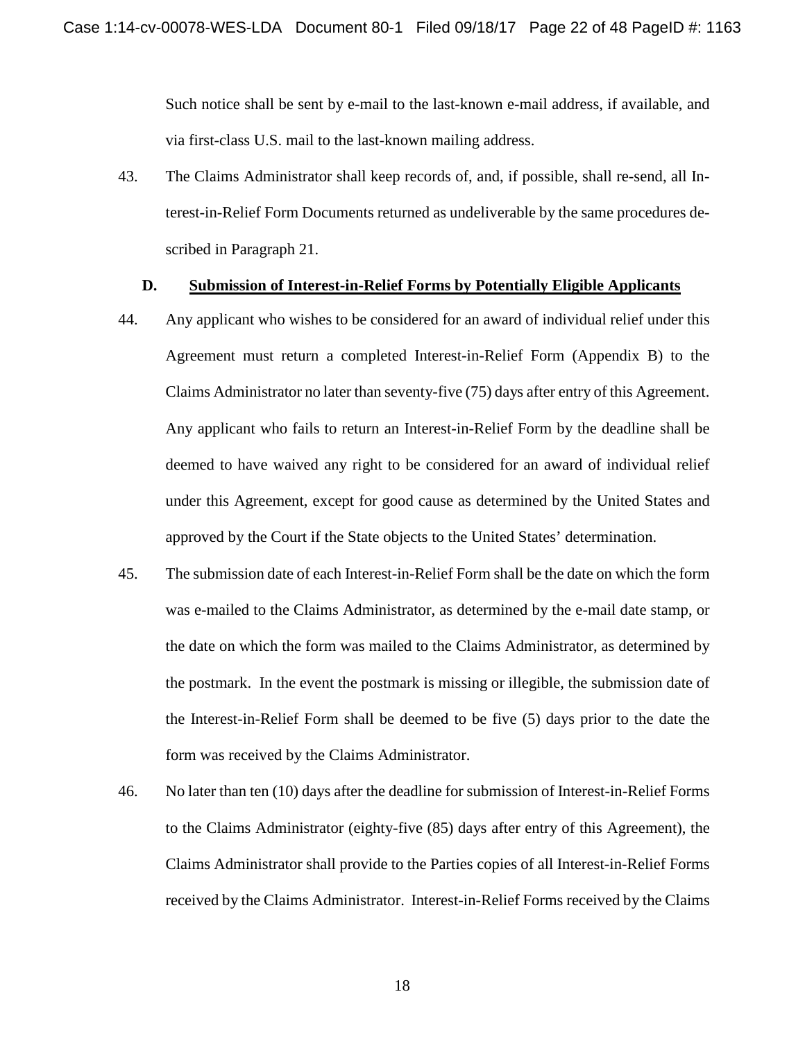Such notice shall be sent by e-mail to the last-known e-mail address, if available, and via first-class U.S. mail to the last-known mailing address.

43. The Claims Administrator shall keep records of, and, if possible, shall re-send, all Interest-in-Relief Form Documents returned as undeliverable by the same procedures described in Paragraph 21.

#### **D. Submission of Interest-in-Relief Forms by Potentially Eligible Applicants**

- 44. Any applicant who wishes to be considered for an award of individual relief under this Agreement must return a completed Interest-in-Relief Form (Appendix B) to the Claims Administrator no later than seventy-five (75) days after entry of this Agreement. Any applicant who fails to return an Interest-in-Relief Form by the deadline shall be deemed to have waived any right to be considered for an award of individual relief under this Agreement, except for good cause as determined by the United States and approved by the Court if the State objects to the United States' determination.
- 45. The submission date of each Interest-in-Relief Form shall be the date on which the form was e-mailed to the Claims Administrator, as determined by the e-mail date stamp, or the date on which the form was mailed to the Claims Administrator, as determined by the postmark. In the event the postmark is missing or illegible, the submission date of the Interest-in-Relief Form shall be deemed to be five (5) days prior to the date the form was received by the Claims Administrator.
- 46. No later than ten (10) days after the deadline for submission of Interest-in-Relief Forms to the Claims Administrator (eighty-five (85) days after entry of this Agreement), the Claims Administrator shall provide to the Parties copies of all Interest-in-Relief Forms received by the Claims Administrator. Interest-in-Relief Forms received by the Claims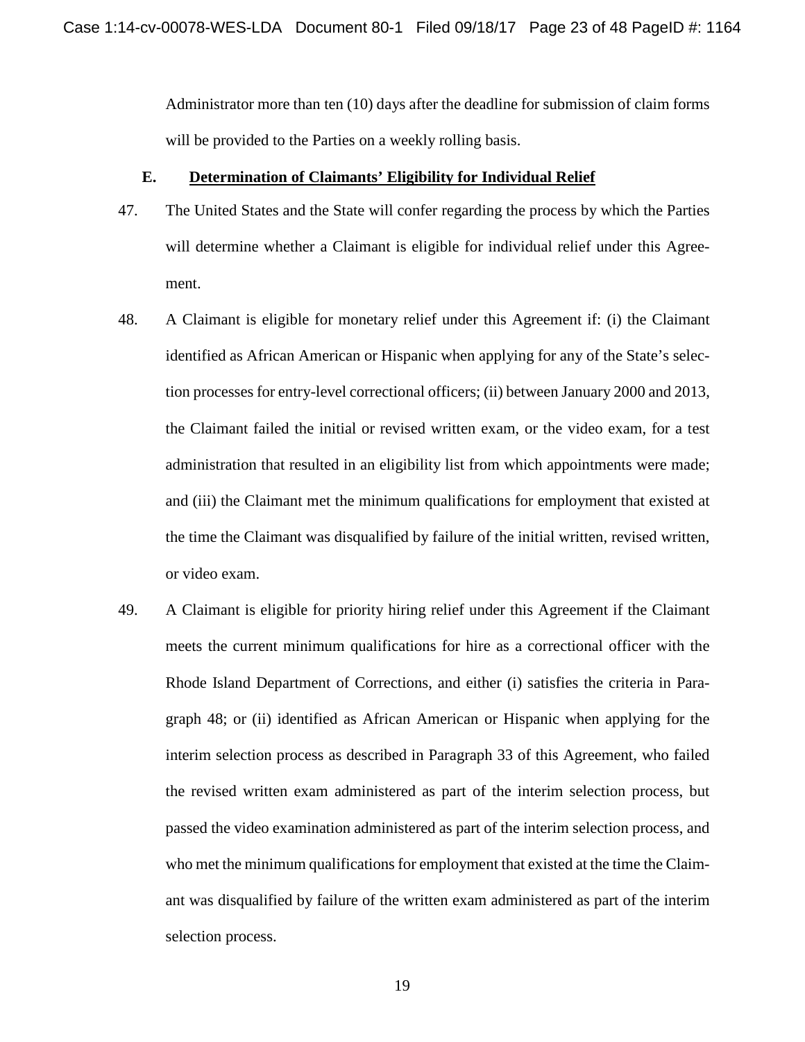Administrator more than ten (10) days after the deadline for submission of claim forms will be provided to the Parties on a weekly rolling basis.

#### **E. Determination of Claimants' Eligibility for Individual Relief**

- 47. The United States and the State will confer regarding the process by which the Parties will determine whether a Claimant is eligible for individual relief under this Agreement.
- 48. A Claimant is eligible for monetary relief under this Agreement if: (i) the Claimant identified as African American or Hispanic when applying for any of the State's selection processes for entry-level correctional officers; (ii) between January 2000 and 2013, the Claimant failed the initial or revised written exam, or the video exam, for a test administration that resulted in an eligibility list from which appointments were made; and (iii) the Claimant met the minimum qualifications for employment that existed at the time the Claimant was disqualified by failure of the initial written, revised written, or video exam.
- 49. A Claimant is eligible for priority hiring relief under this Agreement if the Claimant meets the current minimum qualifications for hire as a correctional officer with the Rhode Island Department of Corrections, and either (i) satisfies the criteria in Paragraph 48; or (ii) identified as African American or Hispanic when applying for the interim selection process as described in Paragraph 33 of this Agreement, who failed the revised written exam administered as part of the interim selection process, but passed the video examination administered as part of the interim selection process, and who met the minimum qualifications for employment that existed at the time the Claimant was disqualified by failure of the written exam administered as part of the interim selection process.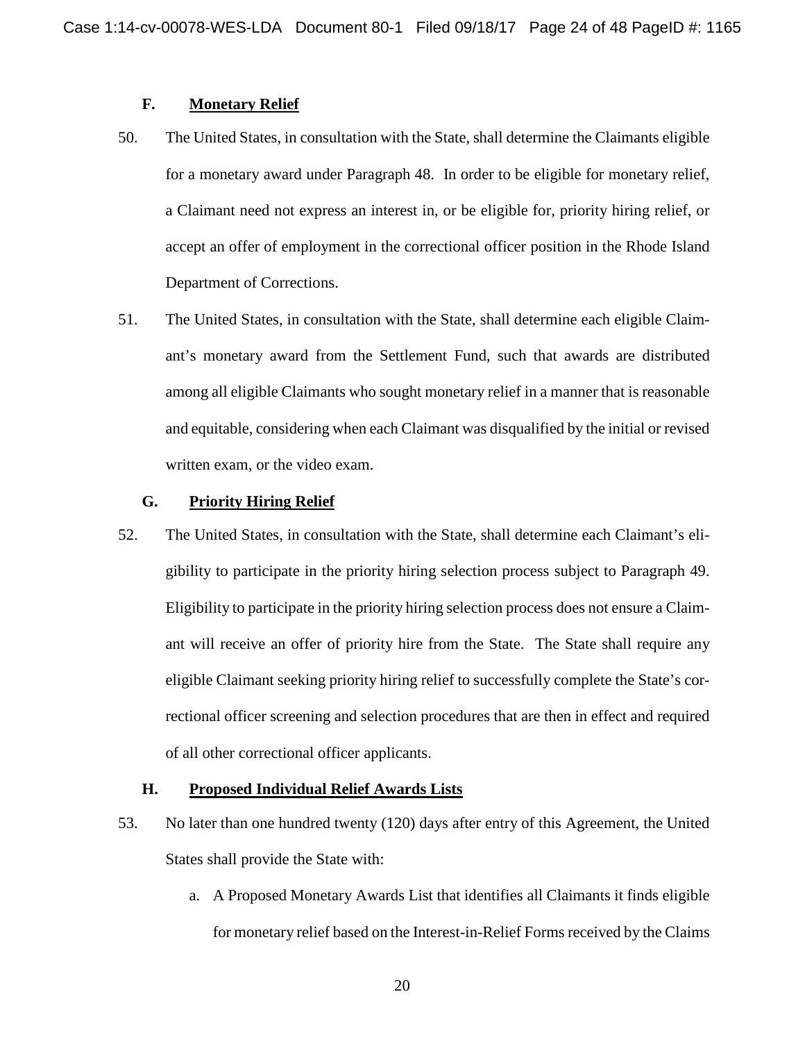## **F. Monetary Relief**

- 50. The United States, in consultation with the State, shall determine the Claimants eligible for a monetary award under Paragraph 48. In order to be eligible for monetary relief, a Claimant need not express an interest in, or be eligible for, priority hiring relief, or accept an offer of employment in the correctional officer position in the Rhode Island Department of Corrections.
- 51. The United States, in consultation with the State, shall determine each eligible Claimant's monetary award from the Settlement Fund, such that awards are distributed among all eligible Claimants who sought monetary relief in a manner that is reasonable and equitable, considering when each Claimant was disqualified by the initial or revised written exam, or the video exam.

## **G. Priority Hiring Relief**

52. The United States, in consultation with the State, shall determine each Claimant's eligibility to participate in the priority hiring selection process subject to Paragraph 49. Eligibility to participate in the priority hiring selection process does not ensure a Claimant will receive an offer of priority hire from the State. The State shall require any eligible Claimant seeking priority hiring relief to successfully complete the State's correctional officer screening and selection procedures that are then in effect and required of all other correctional officer applicants.

## **H. Proposed Individual Relief Awards Lists**

- 53. No later than one hundred twenty (120) days after entry of this Agreement, the United States shall provide the State with:
	- a. A Proposed Monetary Awards List that identifies all Claimants it finds eligible for monetary relief based on the Interest-in-Relief Forms received by the Claims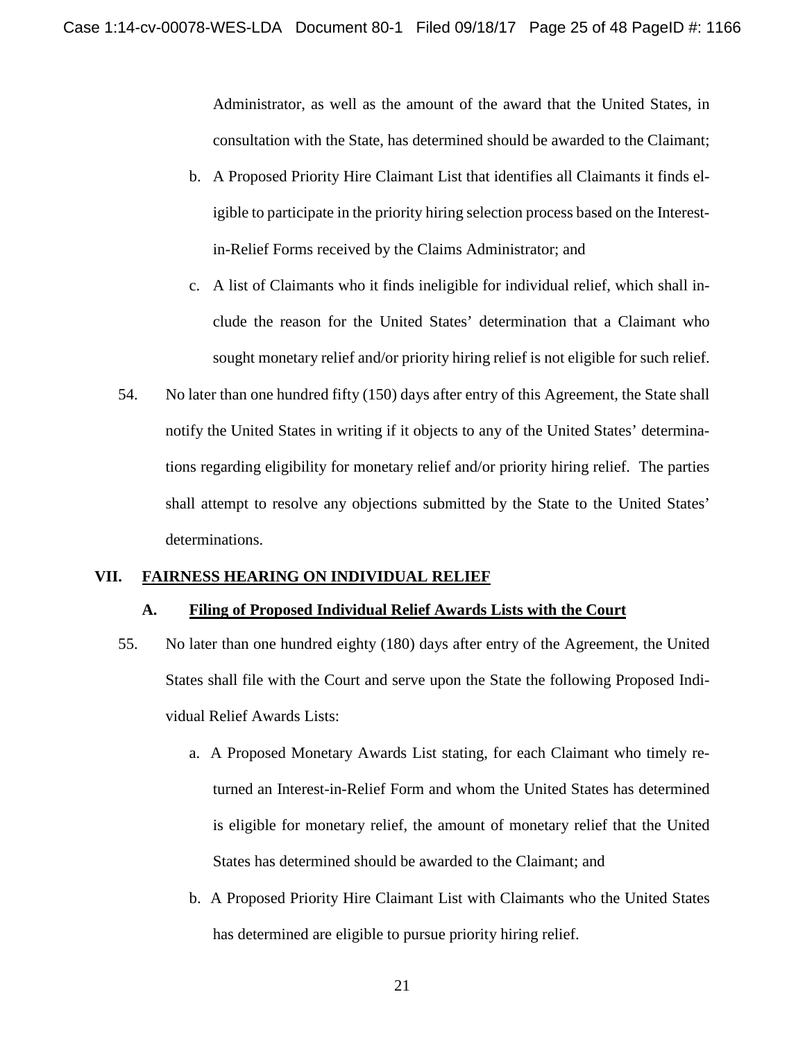Administrator, as well as the amount of the award that the United States, in consultation with the State, has determined should be awarded to the Claimant;

- b. A Proposed Priority Hire Claimant List that identifies all Claimants it finds eligible to participate in the priority hiring selection process based on the Interestin-Relief Forms received by the Claims Administrator; and
- c. A list of Claimants who it finds ineligible for individual relief, which shall include the reason for the United States' determination that a Claimant who sought monetary relief and/or priority hiring relief is not eligible for such relief.
- 54. No later than one hundred fifty (150) days after entry of this Agreement, the State shall notify the United States in writing if it objects to any of the United States' determinations regarding eligibility for monetary relief and/or priority hiring relief. The parties shall attempt to resolve any objections submitted by the State to the United States' determinations.

#### **VII. FAIRNESS HEARING ON INDIVIDUAL RELIEF**

## **A. Filing of Proposed Individual Relief Awards Lists with the Court**

- 55. No later than one hundred eighty (180) days after entry of the Agreement, the United States shall file with the Court and serve upon the State the following Proposed Individual Relief Awards Lists:
	- a. A Proposed Monetary Awards List stating, for each Claimant who timely returned an Interest-in-Relief Form and whom the United States has determined is eligible for monetary relief, the amount of monetary relief that the United States has determined should be awarded to the Claimant; and
	- b. A Proposed Priority Hire Claimant List with Claimants who the United States has determined are eligible to pursue priority hiring relief.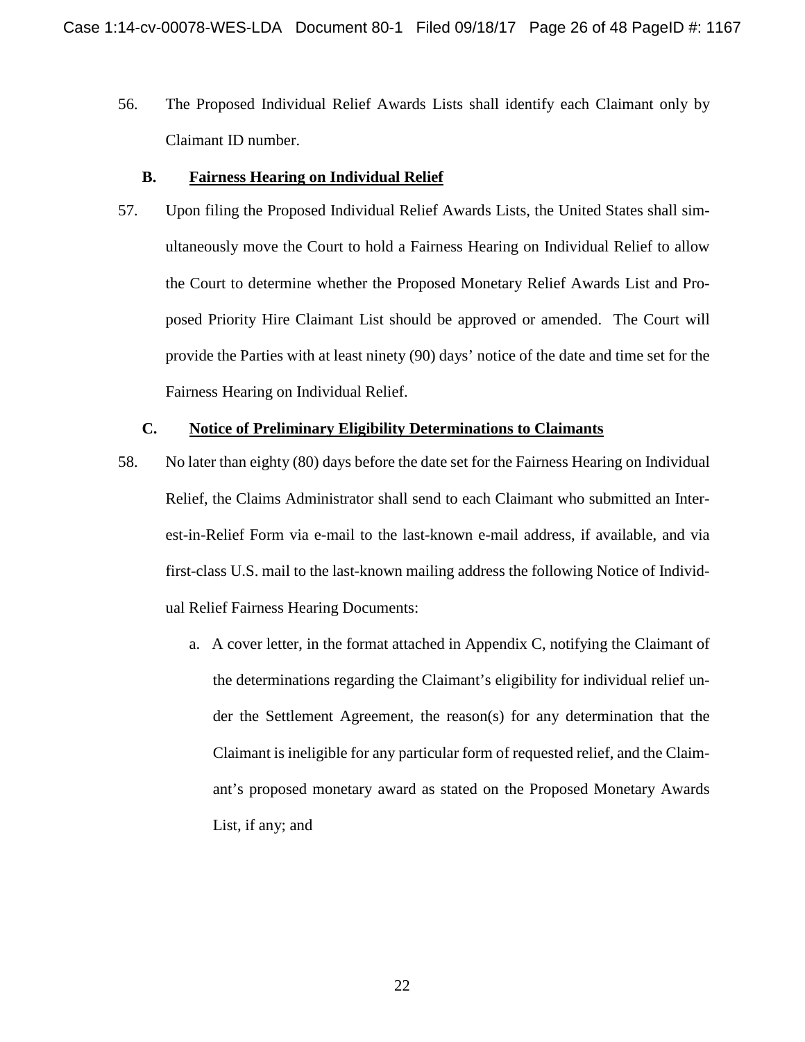56. The Proposed Individual Relief Awards Lists shall identify each Claimant only by Claimant ID number.

## **B. Fairness Hearing on Individual Relief**

57. Upon filing the Proposed Individual Relief Awards Lists, the United States shall simultaneously move the Court to hold a Fairness Hearing on Individual Relief to allow the Court to determine whether the Proposed Monetary Relief Awards List and Proposed Priority Hire Claimant List should be approved or amended. The Court will provide the Parties with at least ninety (90) days' notice of the date and time set for the Fairness Hearing on Individual Relief.

## **C. Notice of Preliminary Eligibility Determinations to Claimants**

- 58. No later than eighty (80) days before the date set for the Fairness Hearing on Individual Relief, the Claims Administrator shall send to each Claimant who submitted an Interest-in-Relief Form via e-mail to the last-known e-mail address, if available, and via first-class U.S. mail to the last-known mailing address the following Notice of Individual Relief Fairness Hearing Documents:
	- a. A cover letter, in the format attached in Appendix C, notifying the Claimant of the determinations regarding the Claimant's eligibility for individual relief under the Settlement Agreement, the reason(s) for any determination that the Claimant is ineligible for any particular form of requested relief, and the Claimant's proposed monetary award as stated on the Proposed Monetary Awards List, if any; and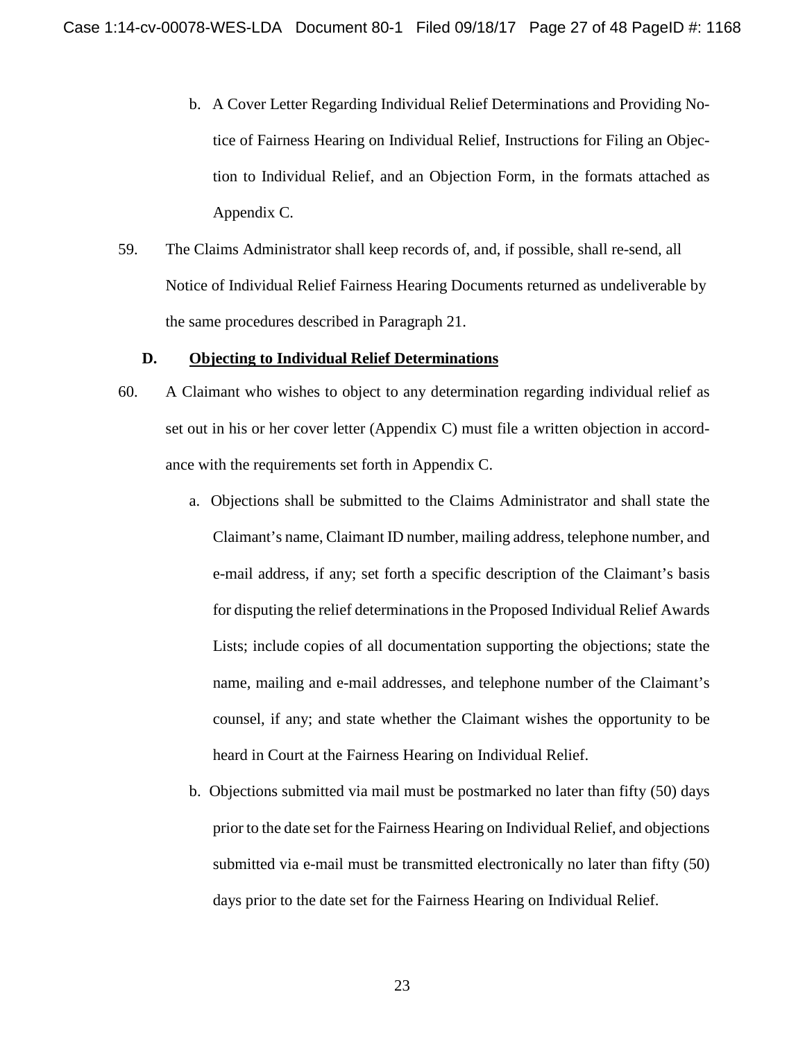- b. A Cover Letter Regarding Individual Relief Determinations and Providing Notice of Fairness Hearing on Individual Relief, Instructions for Filing an Objection to Individual Relief, and an Objection Form, in the formats attached as Appendix C.
- 59. The Claims Administrator shall keep records of, and, if possible, shall re-send, all Notice of Individual Relief Fairness Hearing Documents returned as undeliverable by the same procedures described in Paragraph 21.

### **D. Objecting to Individual Relief Determinations**

- 60. A Claimant who wishes to object to any determination regarding individual relief as set out in his or her cover letter (Appendix C) must file a written objection in accordance with the requirements set forth in Appendix C.
	- a. Objections shall be submitted to the Claims Administrator and shall state the Claimant's name, Claimant ID number, mailing address, telephone number, and e-mail address, if any; set forth a specific description of the Claimant's basis for disputing the relief determinations in the Proposed Individual Relief Awards Lists; include copies of all documentation supporting the objections; state the name, mailing and e-mail addresses, and telephone number of the Claimant's counsel, if any; and state whether the Claimant wishes the opportunity to be heard in Court at the Fairness Hearing on Individual Relief.
	- b. Objections submitted via mail must be postmarked no later than fifty (50) days prior to the date set for the Fairness Hearing on Individual Relief, and objections submitted via e-mail must be transmitted electronically no later than fifty (50) days prior to the date set for the Fairness Hearing on Individual Relief.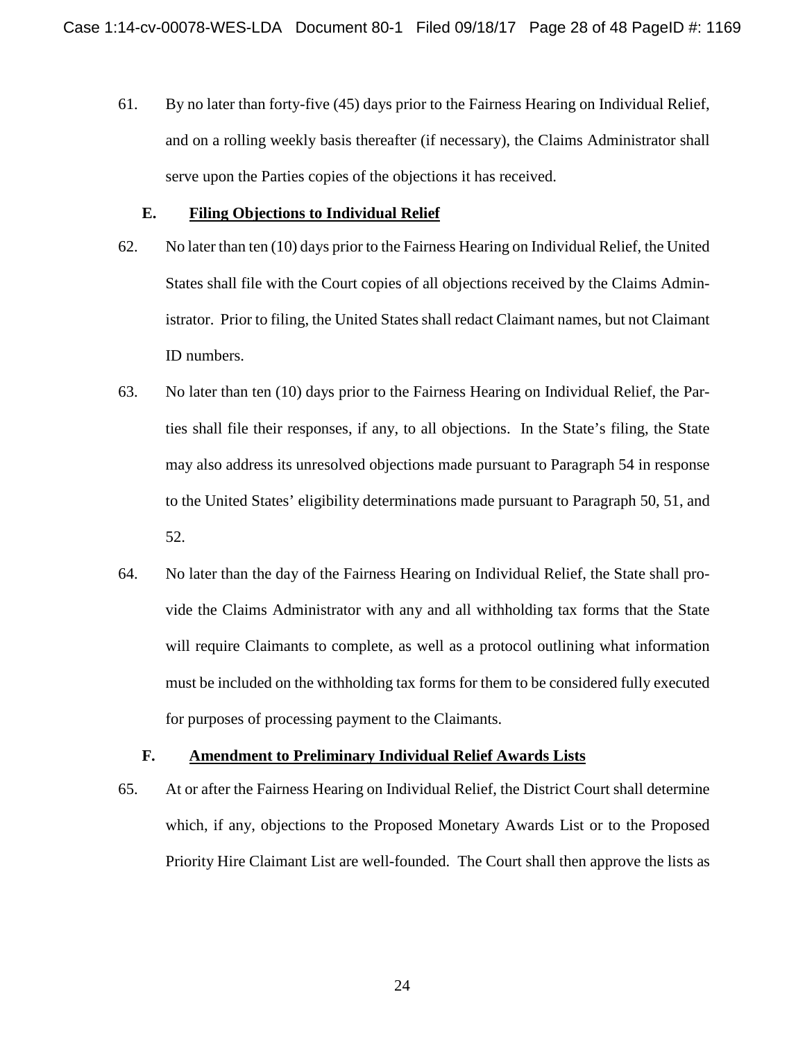61. By no later than forty-five (45) days prior to the Fairness Hearing on Individual Relief, and on a rolling weekly basis thereafter (if necessary), the Claims Administrator shall serve upon the Parties copies of the objections it has received.

#### **E. Filing Objections to Individual Relief**

- 62. No later than ten (10) days prior to the Fairness Hearing on Individual Relief, the United States shall file with the Court copies of all objections received by the Claims Administrator. Prior to filing, the United States shall redact Claimant names, but not Claimant ID numbers.
- 63. No later than ten (10) days prior to the Fairness Hearing on Individual Relief, the Parties shall file their responses, if any, to all objections. In the State's filing, the State may also address its unresolved objections made pursuant to Paragraph 54 in response to the United States' eligibility determinations made pursuant to Paragraph 50, 51, and 52.
- 64. No later than the day of the Fairness Hearing on Individual Relief, the State shall provide the Claims Administrator with any and all withholding tax forms that the State will require Claimants to complete, as well as a protocol outlining what information must be included on the withholding tax forms for them to be considered fully executed for purposes of processing payment to the Claimants.

## **F. Amendment to Preliminary Individual Relief Awards Lists**

65. At or after the Fairness Hearing on Individual Relief, the District Court shall determine which, if any, objections to the Proposed Monetary Awards List or to the Proposed Priority Hire Claimant List are well-founded. The Court shall then approve the lists as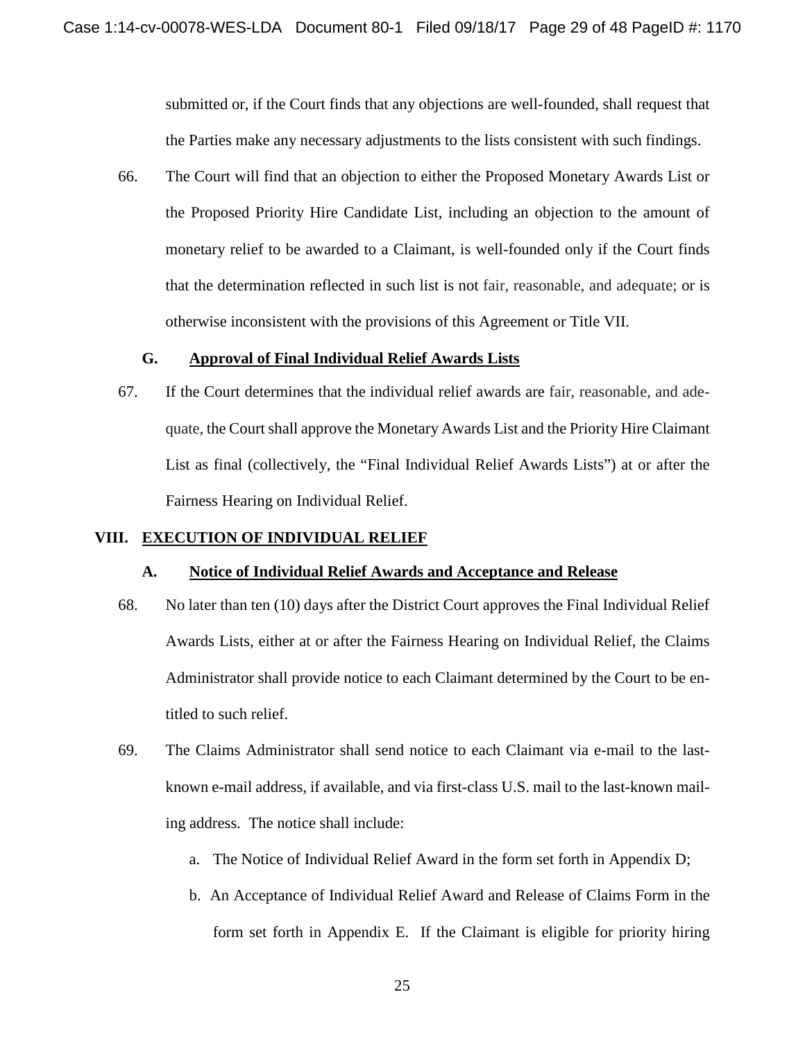submitted or, if the Court finds that any objections are well-founded, shall request that the Parties make any necessary adjustments to the lists consistent with such findings.

66. The Court will find that an objection to either the Proposed Monetary Awards List or the Proposed Priority Hire Candidate List, including an objection to the amount of monetary relief to be awarded to a Claimant, is well-founded only if the Court finds that the determination reflected in such list is not fair, reasonable, and adequate; or is otherwise inconsistent with the provisions of this Agreement or Title VII.

### **G. Approval of Final Individual Relief Awards Lists**

67. If the Court determines that the individual relief awards are fair, reasonable, and adequate, the Court shall approve the Monetary Awards List and the Priority Hire Claimant List as final (collectively, the "Final Individual Relief Awards Lists") at or after the Fairness Hearing on Individual Relief.

### **VIII. EXECUTION OF INDIVIDUAL RELIEF**

#### **A. Notice of Individual Relief Awards and Acceptance and Release**

- 68. No later than ten (10) days after the District Court approves the Final Individual Relief Awards Lists, either at or after the Fairness Hearing on Individual Relief, the Claims Administrator shall provide notice to each Claimant determined by the Court to be entitled to such relief.
- 69. The Claims Administrator shall send notice to each Claimant via e-mail to the lastknown e-mail address, if available, and via first-class U.S. mail to the last-known mailing address. The notice shall include:
	- a. The Notice of Individual Relief Award in the form set forth in Appendix D;
	- b. An Acceptance of Individual Relief Award and Release of Claims Form in the form set forth in Appendix E. If the Claimant is eligible for priority hiring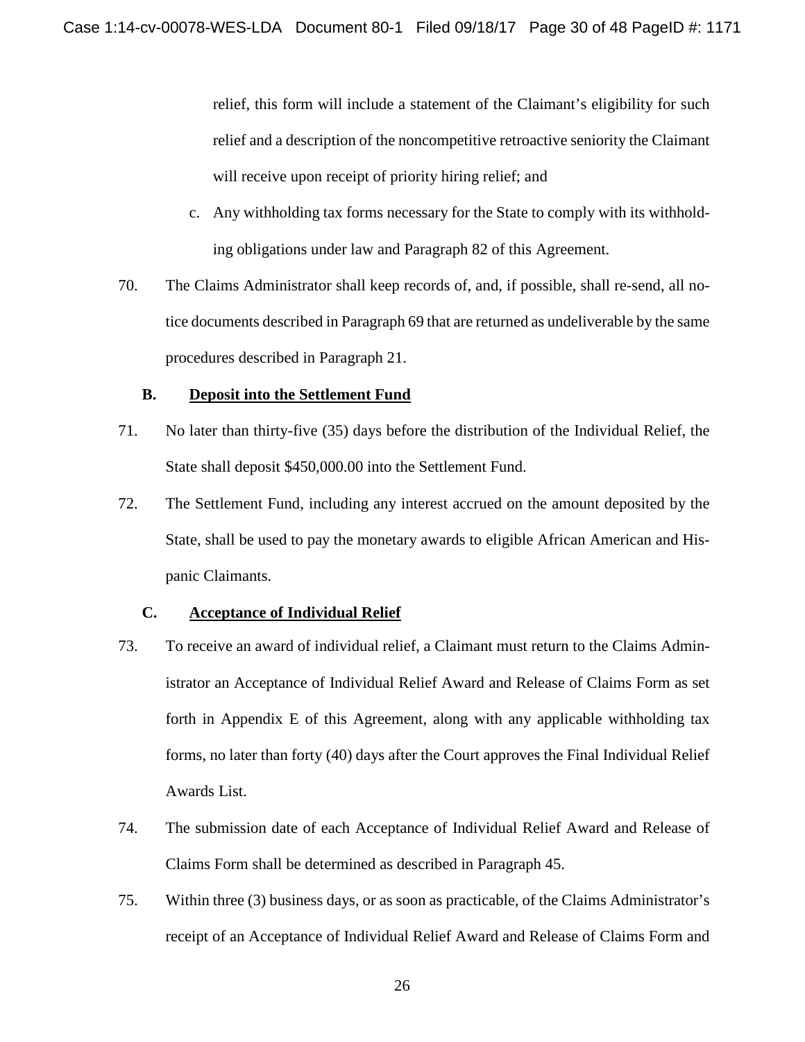relief, this form will include a statement of the Claimant's eligibility for such relief and a description of the noncompetitive retroactive seniority the Claimant will receive upon receipt of priority hiring relief; and

- c. Any withholding tax forms necessary for the State to comply with its withholding obligations under law and Paragraph 82 of this Agreement.
- 70. The Claims Administrator shall keep records of, and, if possible, shall re-send, all notice documents described in Paragraph 69 that are returned as undeliverable by the same procedures described in Paragraph 21.

## **B. Deposit into the Settlement Fund**

- 71. No later than thirty-five (35) days before the distribution of the Individual Relief, the State shall deposit \$450,000.00 into the Settlement Fund.
- 72. The Settlement Fund, including any interest accrued on the amount deposited by the State, shall be used to pay the monetary awards to eligible African American and Hispanic Claimants.

## **C. Acceptance of Individual Relief**

- 73. To receive an award of individual relief, a Claimant must return to the Claims Administrator an Acceptance of Individual Relief Award and Release of Claims Form as set forth in Appendix E of this Agreement, along with any applicable withholding tax forms, no later than forty (40) days after the Court approves the Final Individual Relief Awards List.
- 74. The submission date of each Acceptance of Individual Relief Award and Release of Claims Form shall be determined as described in Paragraph 45.
- 75. Within three (3) business days, or as soon as practicable, of the Claims Administrator's receipt of an Acceptance of Individual Relief Award and Release of Claims Form and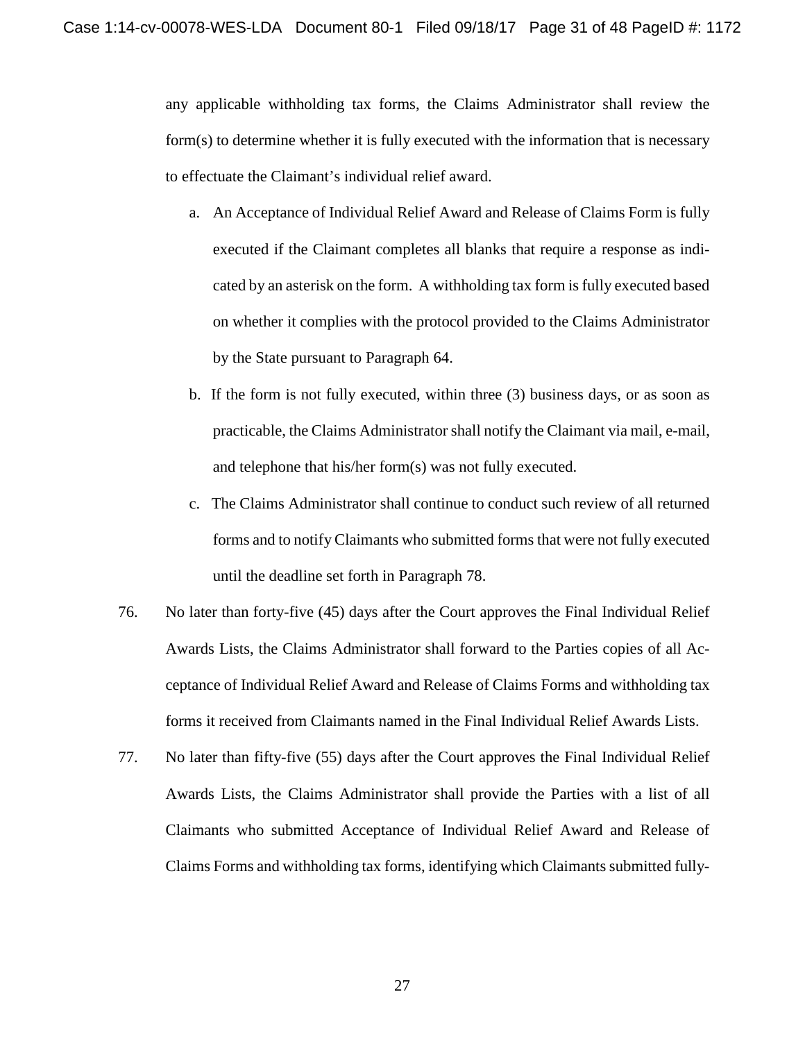any applicable withholding tax forms, the Claims Administrator shall review the form(s) to determine whether it is fully executed with the information that is necessary to effectuate the Claimant's individual relief award.

- a. An Acceptance of Individual Relief Award and Release of Claims Form is fully executed if the Claimant completes all blanks that require a response as indicated by an asterisk on the form. A withholding tax form isfully executed based on whether it complies with the protocol provided to the Claims Administrator by the State pursuant to Paragraph 64.
- b. If the form is not fully executed, within three (3) business days, or as soon as practicable, the Claims Administrator shall notify the Claimant via mail, e-mail, and telephone that his/her form(s) was not fully executed.
- c. The Claims Administrator shall continue to conduct such review of all returned forms and to notify Claimants who submitted forms that were not fully executed until the deadline set forth in Paragraph 78.
- 76. No later than forty-five (45) days after the Court approves the Final Individual Relief Awards Lists, the Claims Administrator shall forward to the Parties copies of all Acceptance of Individual Relief Award and Release of Claims Forms and withholding tax forms it received from Claimants named in the Final Individual Relief Awards Lists.
- 77. No later than fifty-five (55) days after the Court approves the Final Individual Relief Awards Lists, the Claims Administrator shall provide the Parties with a list of all Claimants who submitted Acceptance of Individual Relief Award and Release of Claims Forms and withholding tax forms, identifying which Claimants submitted fully-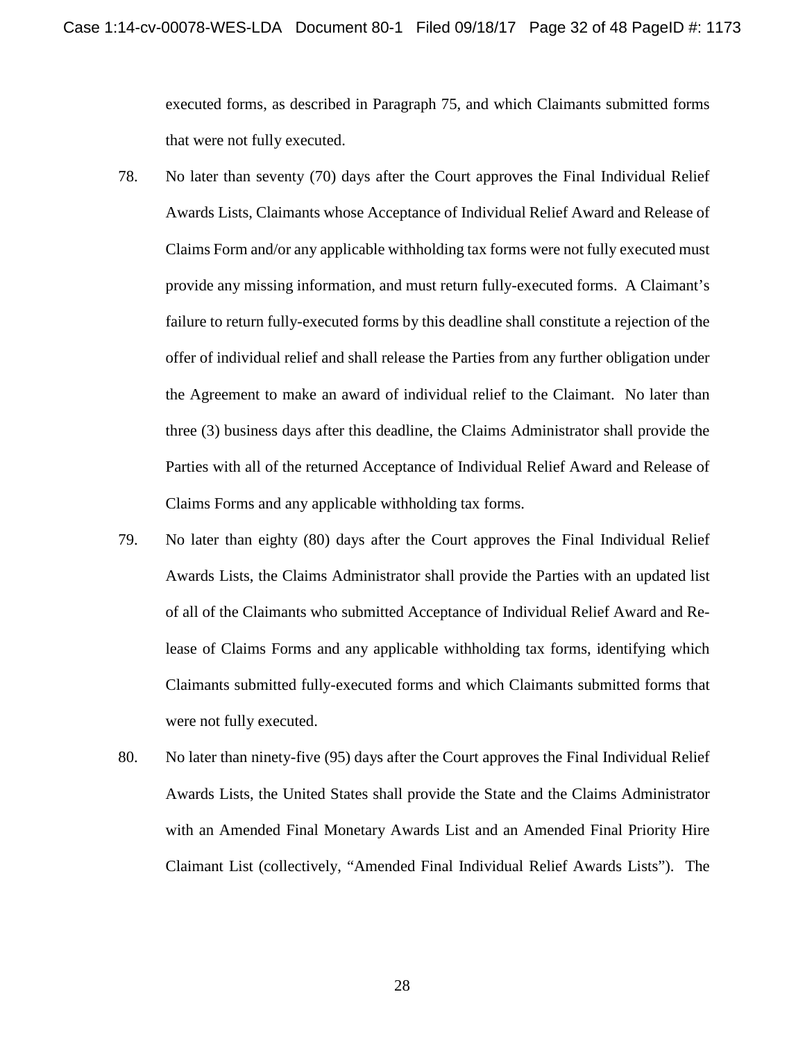executed forms, as described in Paragraph 75, and which Claimants submitted forms that were not fully executed.

- 78. No later than seventy (70) days after the Court approves the Final Individual Relief Awards Lists, Claimants whose Acceptance of Individual Relief Award and Release of Claims Form and/or any applicable withholding tax forms were not fully executed must provide any missing information, and must return fully-executed forms. A Claimant's failure to return fully-executed forms by this deadline shall constitute a rejection of the offer of individual relief and shall release the Parties from any further obligation under the Agreement to make an award of individual relief to the Claimant. No later than three (3) business days after this deadline, the Claims Administrator shall provide the Parties with all of the returned Acceptance of Individual Relief Award and Release of Claims Forms and any applicable withholding tax forms.
- 79. No later than eighty (80) days after the Court approves the Final Individual Relief Awards Lists, the Claims Administrator shall provide the Parties with an updated list of all of the Claimants who submitted Acceptance of Individual Relief Award and Release of Claims Forms and any applicable withholding tax forms, identifying which Claimants submitted fully-executed forms and which Claimants submitted forms that were not fully executed.
- 80. No later than ninety-five (95) days after the Court approves the Final Individual Relief Awards Lists, the United States shall provide the State and the Claims Administrator with an Amended Final Monetary Awards List and an Amended Final Priority Hire Claimant List (collectively, "Amended Final Individual Relief Awards Lists"). The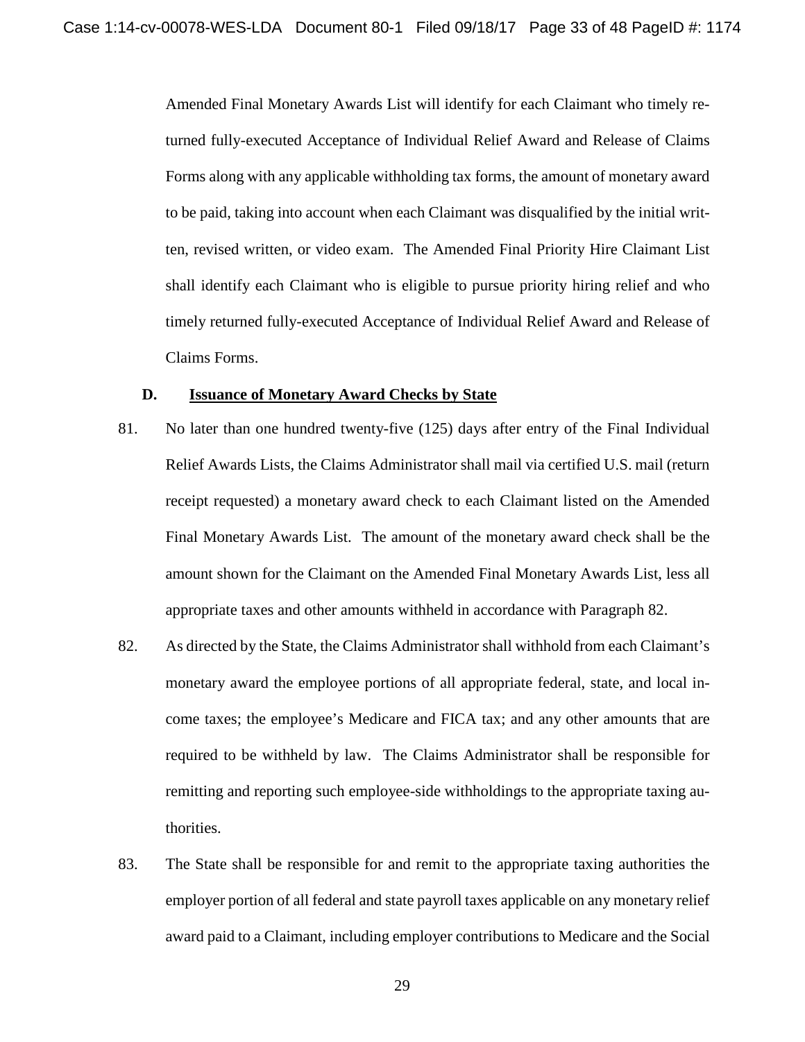Amended Final Monetary Awards List will identify for each Claimant who timely returned fully-executed Acceptance of Individual Relief Award and Release of Claims Forms along with any applicable withholding tax forms, the amount of monetary award to be paid, taking into account when each Claimant was disqualified by the initial written, revised written, or video exam. The Amended Final Priority Hire Claimant List shall identify each Claimant who is eligible to pursue priority hiring relief and who timely returned fully-executed Acceptance of Individual Relief Award and Release of Claims Forms.

### **D. Issuance of Monetary Award Checks by State**

- 81. No later than one hundred twenty-five (125) days after entry of the Final Individual Relief Awards Lists, the Claims Administrator shall mail via certified U.S. mail (return receipt requested) a monetary award check to each Claimant listed on the Amended Final Monetary Awards List. The amount of the monetary award check shall be the amount shown for the Claimant on the Amended Final Monetary Awards List, less all appropriate taxes and other amounts withheld in accordance with Paragraph 82.
- 82. As directed by the State, the Claims Administrator shall withhold from each Claimant's monetary award the employee portions of all appropriate federal, state, and local income taxes; the employee's Medicare and FICA tax; and any other amounts that are required to be withheld by law. The Claims Administrator shall be responsible for remitting and reporting such employee-side withholdings to the appropriate taxing authorities.
- 83. The State shall be responsible for and remit to the appropriate taxing authorities the employer portion of all federal and state payroll taxes applicable on any monetary relief award paid to a Claimant, including employer contributions to Medicare and the Social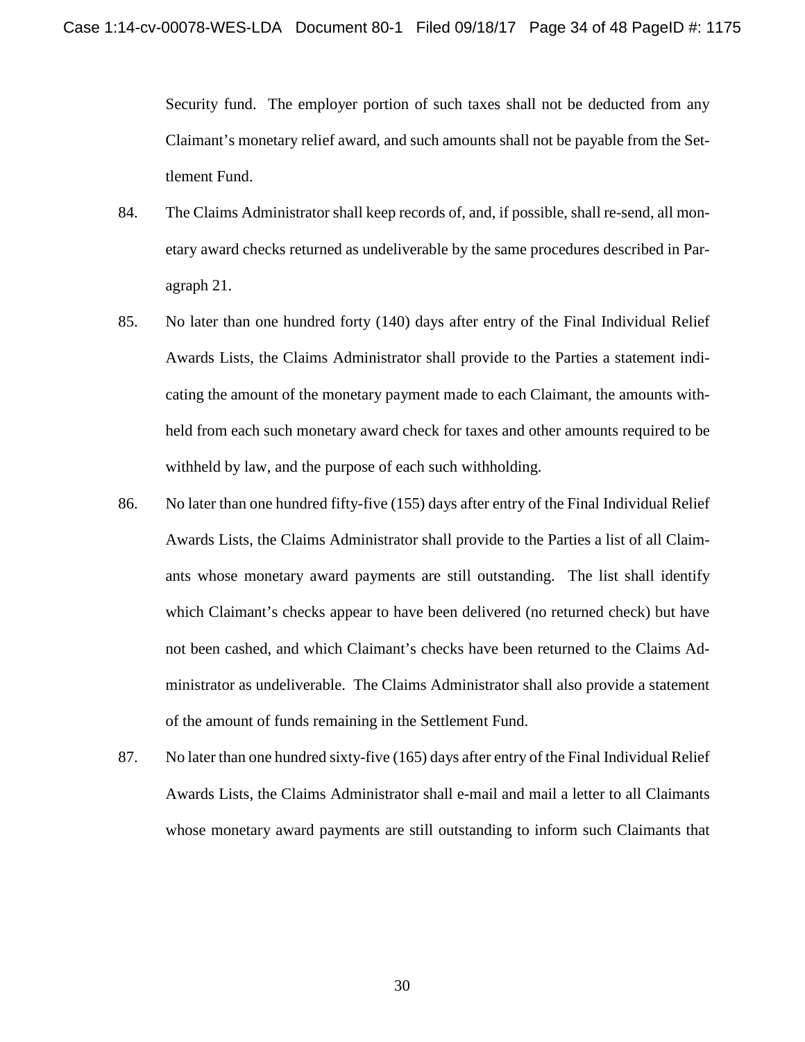Security fund. The employer portion of such taxes shall not be deducted from any Claimant's monetary relief award, and such amounts shall not be payable from the Settlement Fund.

- 84. The Claims Administrator shall keep records of, and, if possible, shall re-send, all monetary award checks returned as undeliverable by the same procedures described in Paragraph 21.
- 85. No later than one hundred forty (140) days after entry of the Final Individual Relief Awards Lists, the Claims Administrator shall provide to the Parties a statement indicating the amount of the monetary payment made to each Claimant, the amounts withheld from each such monetary award check for taxes and other amounts required to be withheld by law, and the purpose of each such withholding.
- 86. No later than one hundred fifty-five (155) days after entry of the Final Individual Relief Awards Lists, the Claims Administrator shall provide to the Parties a list of all Claimants whose monetary award payments are still outstanding. The list shall identify which Claimant's checks appear to have been delivered (no returned check) but have not been cashed, and which Claimant's checks have been returned to the Claims Administrator as undeliverable. The Claims Administrator shall also provide a statement of the amount of funds remaining in the Settlement Fund.
- 87. No later than one hundred sixty-five (165) days after entry of the Final Individual Relief Awards Lists, the Claims Administrator shall e-mail and mail a letter to all Claimants whose monetary award payments are still outstanding to inform such Claimants that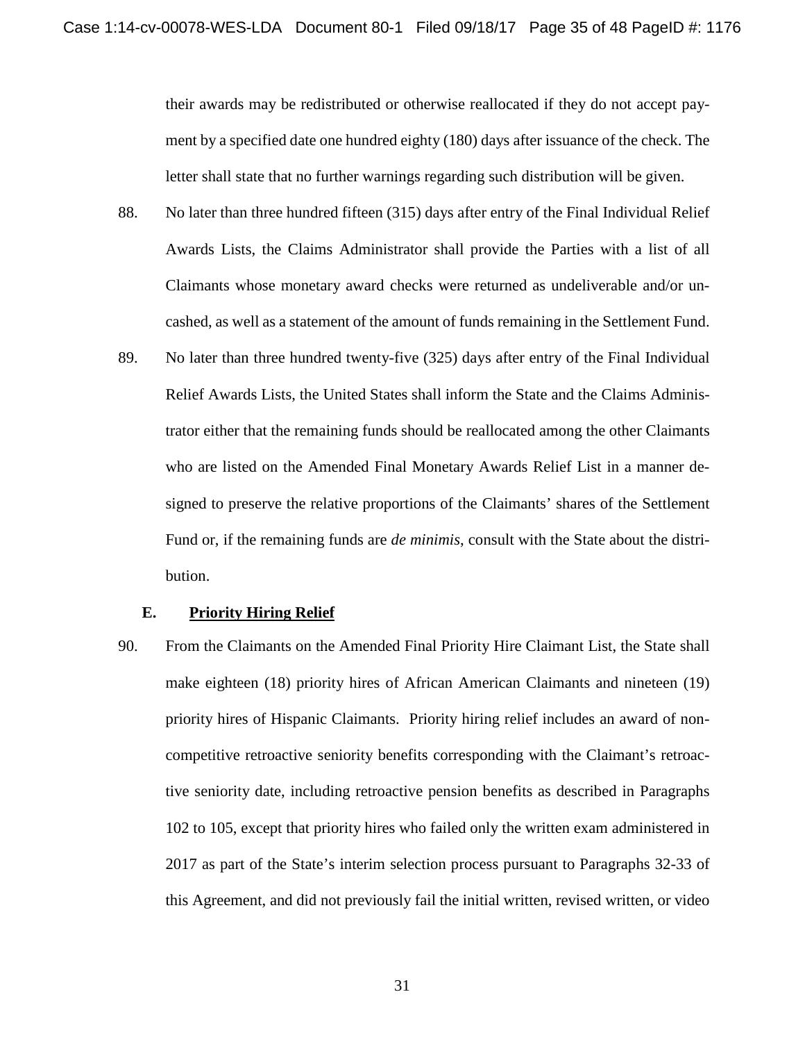their awards may be redistributed or otherwise reallocated if they do not accept payment by a specified date one hundred eighty (180) days after issuance of the check. The letter shall state that no further warnings regarding such distribution will be given.

- 88. No later than three hundred fifteen (315) days after entry of the Final Individual Relief Awards Lists, the Claims Administrator shall provide the Parties with a list of all Claimants whose monetary award checks were returned as undeliverable and/or uncashed, as well as a statement of the amount of funds remaining in the Settlement Fund.
- 89. No later than three hundred twenty-five (325) days after entry of the Final Individual Relief Awards Lists, the United States shall inform the State and the Claims Administrator either that the remaining funds should be reallocated among the other Claimants who are listed on the Amended Final Monetary Awards Relief List in a manner designed to preserve the relative proportions of the Claimants' shares of the Settlement Fund or, if the remaining funds are *de minimis*, consult with the State about the distribution.

#### **E. Priority Hiring Relief**

90. From the Claimants on the Amended Final Priority Hire Claimant List, the State shall make eighteen (18) priority hires of African American Claimants and nineteen (19) priority hires of Hispanic Claimants. Priority hiring relief includes an award of noncompetitive retroactive seniority benefits corresponding with the Claimant's retroactive seniority date, including retroactive pension benefits as described in Paragraphs 102 to 105, except that priority hires who failed only the written exam administered in 2017 as part of the State's interim selection process pursuant to Paragraphs 32-33 of this Agreement, and did not previously fail the initial written, revised written, or video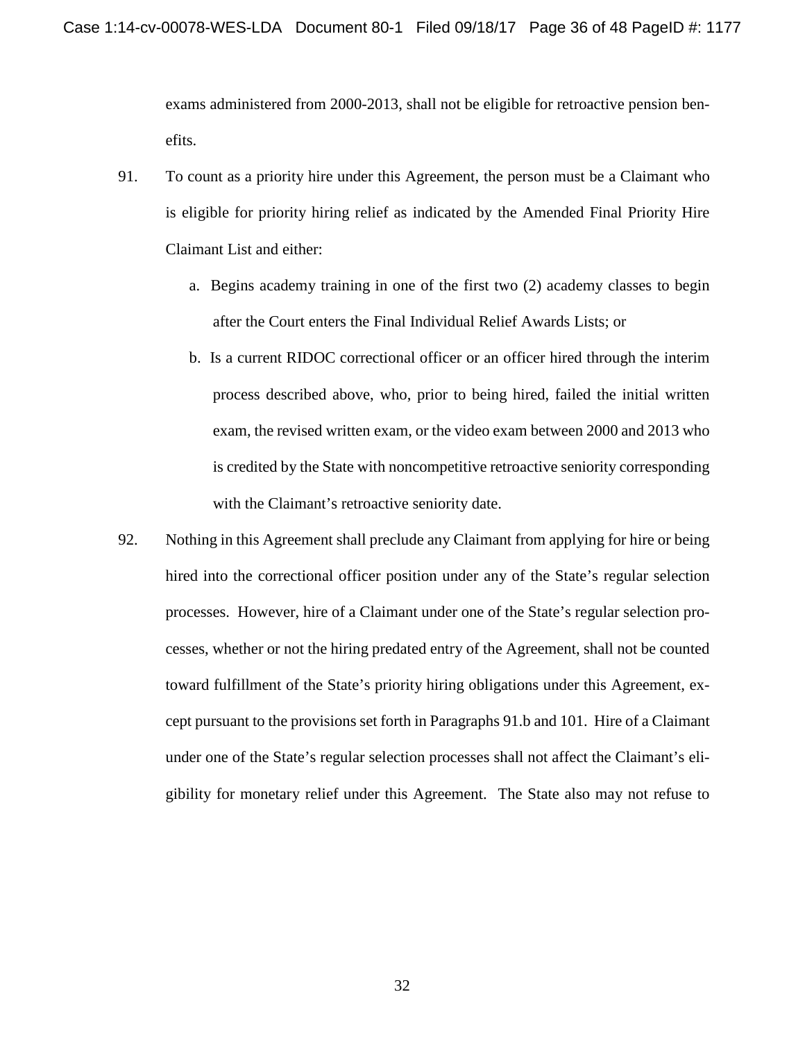exams administered from 2000-2013, shall not be eligible for retroactive pension benefits.

- 91. To count as a priority hire under this Agreement, the person must be a Claimant who is eligible for priority hiring relief as indicated by the Amended Final Priority Hire Claimant List and either:
	- a. Begins academy training in one of the first two (2) academy classes to begin after the Court enters the Final Individual Relief Awards Lists; or
	- b. Is a current RIDOC correctional officer or an officer hired through the interim process described above, who, prior to being hired, failed the initial written exam, the revised written exam, or the video exam between 2000 and 2013 who is credited by the State with noncompetitive retroactive seniority corresponding with the Claimant's retroactive seniority date.
- 92. Nothing in this Agreement shall preclude any Claimant from applying for hire or being hired into the correctional officer position under any of the State's regular selection processes. However, hire of a Claimant under one of the State's regular selection processes, whether or not the hiring predated entry of the Agreement, shall not be counted toward fulfillment of the State's priority hiring obligations under this Agreement, except pursuant to the provisions set forth in Paragraphs 91.b and 101. Hire of a Claimant under one of the State's regular selection processes shall not affect the Claimant's eligibility for monetary relief under this Agreement. The State also may not refuse to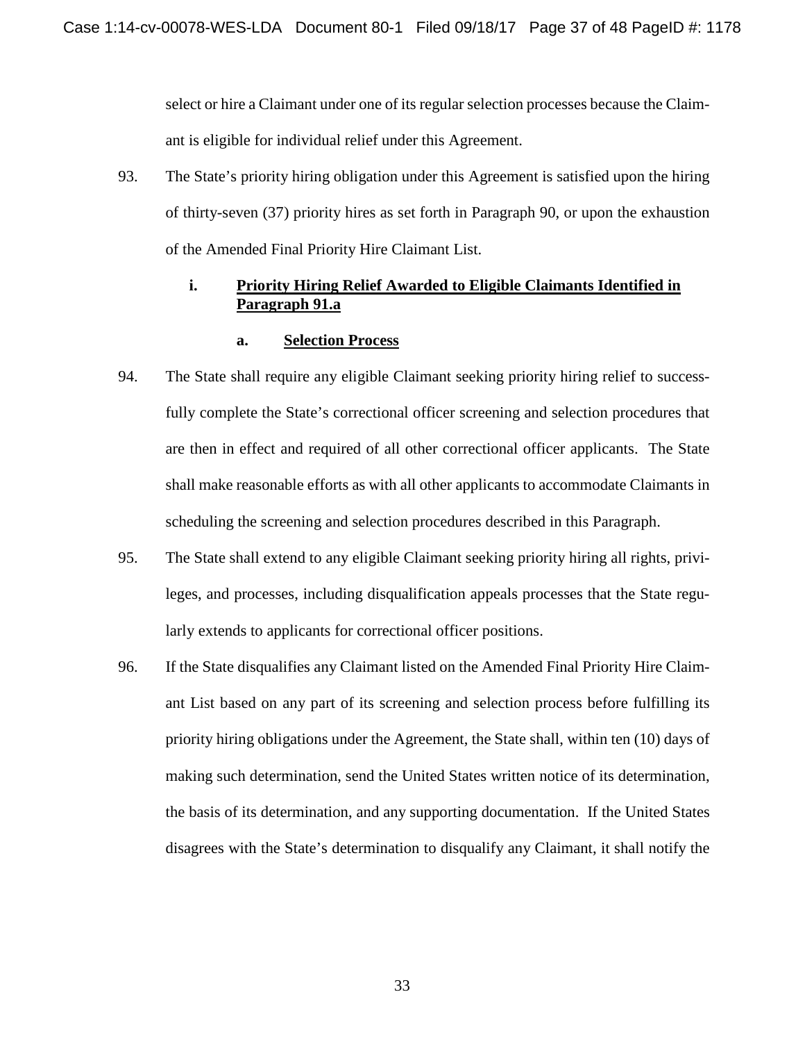select or hire a Claimant under one of its regular selection processes because the Claimant is eligible for individual relief under this Agreement.

93. The State's priority hiring obligation under this Agreement is satisfied upon the hiring of thirty-seven (37) priority hires as set forth in Paragraph 90, or upon the exhaustion of the Amended Final Priority Hire Claimant List.

## **i. Priority Hiring Relief Awarded to Eligible Claimants Identified in Paragraph 91.a**

## **a. Selection Process**

- 94. The State shall require any eligible Claimant seeking priority hiring relief to successfully complete the State's correctional officer screening and selection procedures that are then in effect and required of all other correctional officer applicants. The State shall make reasonable efforts as with all other applicants to accommodate Claimants in scheduling the screening and selection procedures described in this Paragraph.
- 95. The State shall extend to any eligible Claimant seeking priority hiring all rights, privileges, and processes, including disqualification appeals processes that the State regularly extends to applicants for correctional officer positions.
- 96. If the State disqualifies any Claimant listed on the Amended Final Priority Hire Claimant List based on any part of its screening and selection process before fulfilling its priority hiring obligations under the Agreement, the State shall, within ten (10) days of making such determination, send the United States written notice of its determination, the basis of its determination, and any supporting documentation. If the United States disagrees with the State's determination to disqualify any Claimant, it shall notify the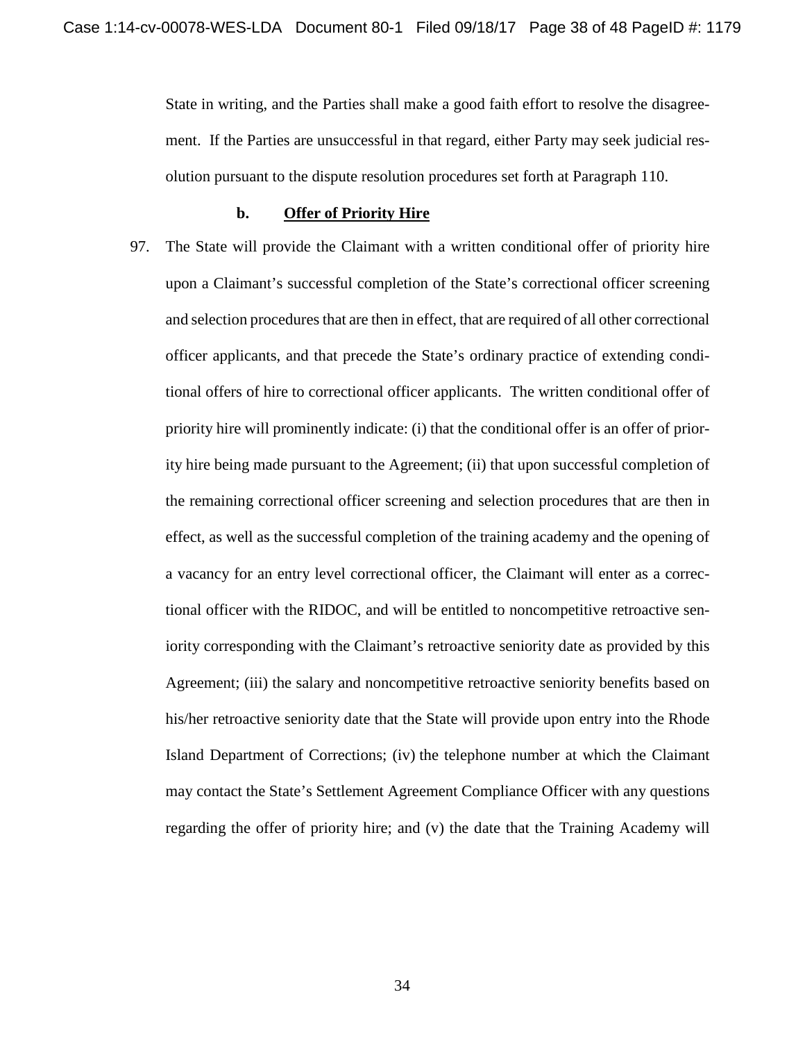State in writing, and the Parties shall make a good faith effort to resolve the disagreement. If the Parties are unsuccessful in that regard, either Party may seek judicial resolution pursuant to the dispute resolution procedures set forth at Paragraph 110.

#### **b. Offer of Priority Hire**

97. The State will provide the Claimant with a written conditional offer of priority hire upon a Claimant's successful completion of the State's correctional officer screening and selection procedures that are then in effect, that are required of all other correctional officer applicants, and that precede the State's ordinary practice of extending conditional offers of hire to correctional officer applicants. The written conditional offer of priority hire will prominently indicate: (i) that the conditional offer is an offer of priority hire being made pursuant to the Agreement; (ii) that upon successful completion of the remaining correctional officer screening and selection procedures that are then in effect, as well as the successful completion of the training academy and the opening of a vacancy for an entry level correctional officer, the Claimant will enter as a correctional officer with the RIDOC, and will be entitled to noncompetitive retroactive seniority corresponding with the Claimant's retroactive seniority date as provided by this Agreement; (iii) the salary and noncompetitive retroactive seniority benefits based on his/her retroactive seniority date that the State will provide upon entry into the Rhode Island Department of Corrections; (iv) the telephone number at which the Claimant may contact the State's Settlement Agreement Compliance Officer with any questions regarding the offer of priority hire; and (v) the date that the Training Academy will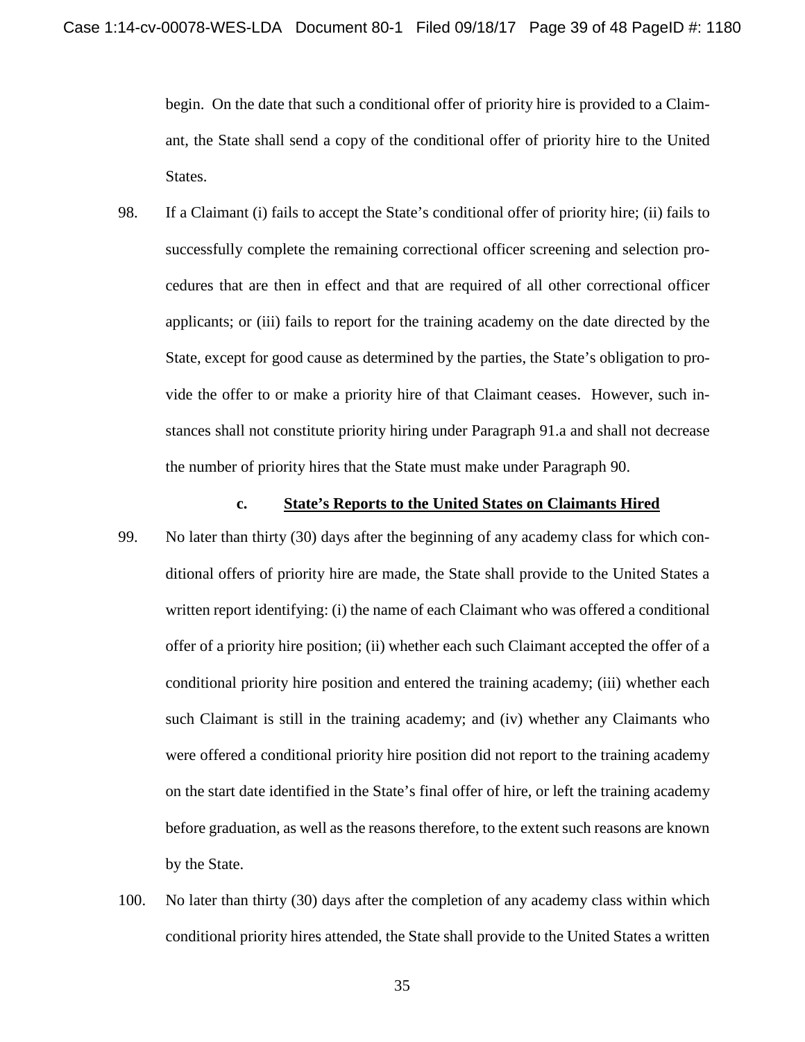begin. On the date that such a conditional offer of priority hire is provided to a Claimant, the State shall send a copy of the conditional offer of priority hire to the United States.

98. If a Claimant (i) fails to accept the State's conditional offer of priority hire; (ii) fails to successfully complete the remaining correctional officer screening and selection procedures that are then in effect and that are required of all other correctional officer applicants; or (iii) fails to report for the training academy on the date directed by the State, except for good cause as determined by the parties, the State's obligation to provide the offer to or make a priority hire of that Claimant ceases. However, such instances shall not constitute priority hiring under Paragraph 91.a and shall not decrease the number of priority hires that the State must make under Paragraph 90.

#### **c. State's Reports to the United States on Claimants Hired**

- 99. No later than thirty (30) days after the beginning of any academy class for which conditional offers of priority hire are made, the State shall provide to the United States a written report identifying: (i) the name of each Claimant who was offered a conditional offer of a priority hire position; (ii) whether each such Claimant accepted the offer of a conditional priority hire position and entered the training academy; (iii) whether each such Claimant is still in the training academy; and (iv) whether any Claimants who were offered a conditional priority hire position did not report to the training academy on the start date identified in the State's final offer of hire, or left the training academy before graduation, as well as the reasons therefore, to the extent such reasons are known by the State.
- 100. No later than thirty (30) days after the completion of any academy class within which conditional priority hires attended, the State shall provide to the United States a written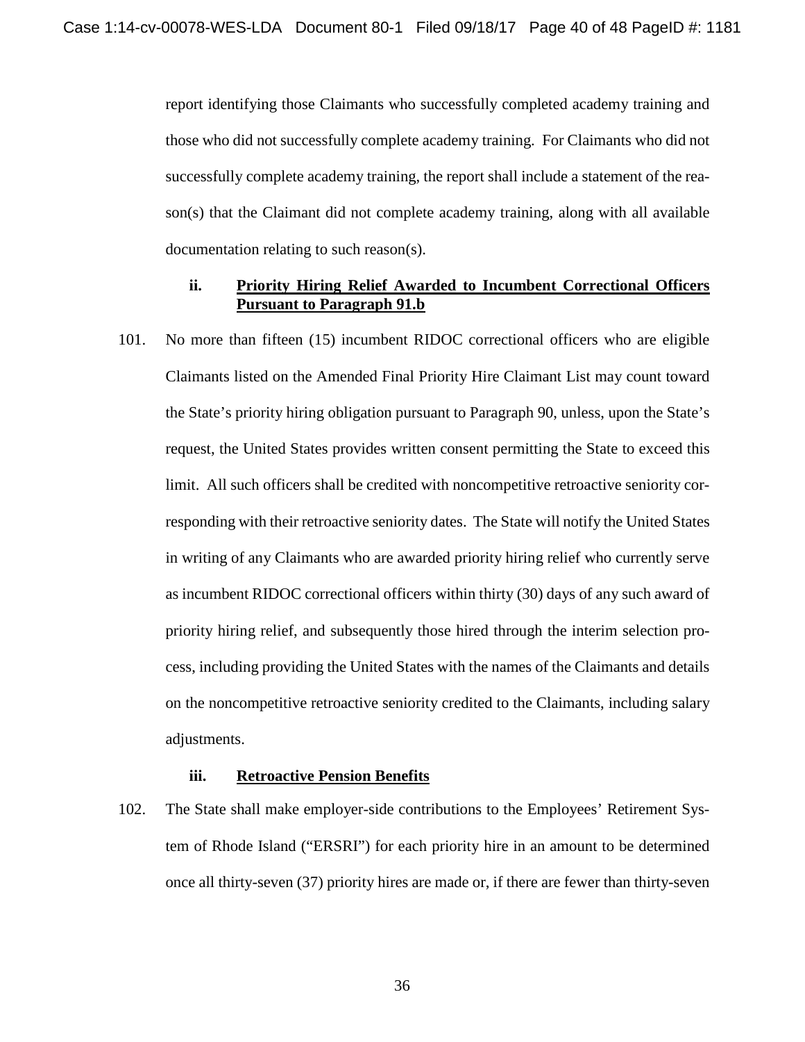report identifying those Claimants who successfully completed academy training and those who did not successfully complete academy training. For Claimants who did not successfully complete academy training, the report shall include a statement of the reason(s) that the Claimant did not complete academy training, along with all available documentation relating to such reason(s).

#### **ii. Priority Hiring Relief Awarded to Incumbent Correctional Officers Pursuant to Paragraph 91.b**

101. No more than fifteen (15) incumbent RIDOC correctional officers who are eligible Claimants listed on the Amended Final Priority Hire Claimant List may count toward the State's priority hiring obligation pursuant to Paragraph 90, unless, upon the State's request, the United States provides written consent permitting the State to exceed this limit. All such officers shall be credited with noncompetitive retroactive seniority corresponding with their retroactive seniority dates. The State will notify the United States in writing of any Claimants who are awarded priority hiring relief who currently serve as incumbent RIDOC correctional officers within thirty (30) days of any such award of priority hiring relief, and subsequently those hired through the interim selection process, including providing the United States with the names of the Claimants and details on the noncompetitive retroactive seniority credited to the Claimants, including salary adjustments.

### **iii. Retroactive Pension Benefits**

102. The State shall make employer-side contributions to the Employees' Retirement System of Rhode Island ("ERSRI") for each priority hire in an amount to be determined once all thirty-seven (37) priority hires are made or, if there are fewer than thirty-seven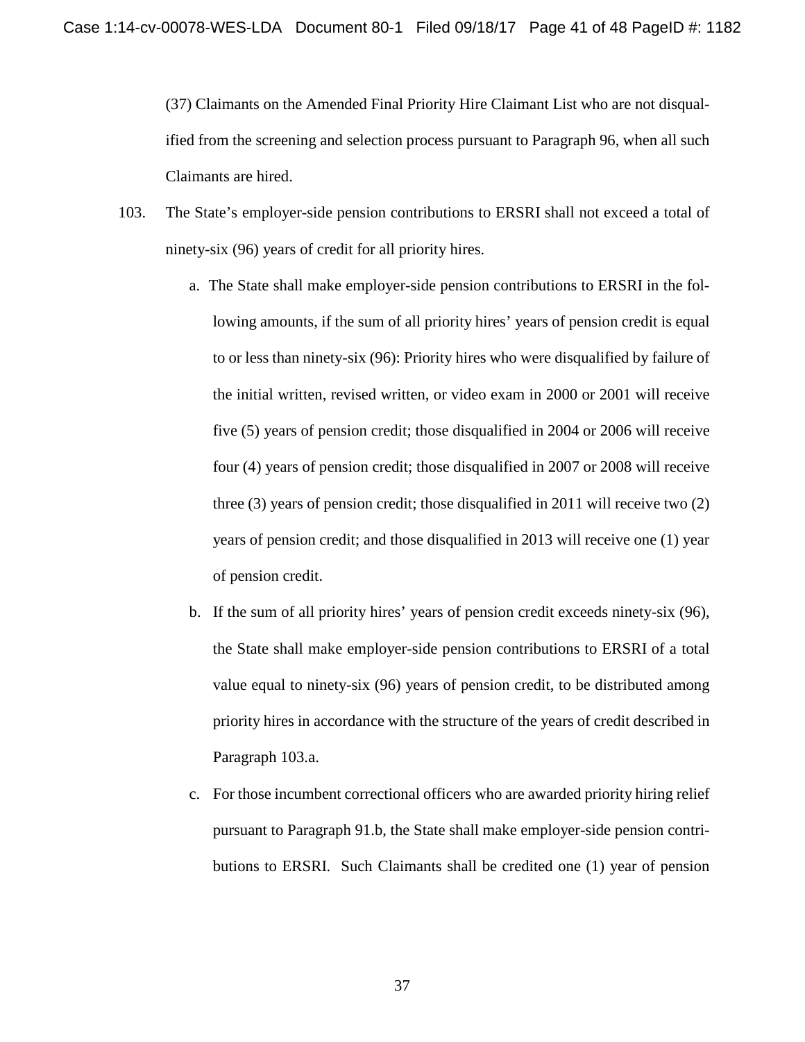(37) Claimants on the Amended Final Priority Hire Claimant List who are not disqualified from the screening and selection process pursuant to Paragraph 96, when all such Claimants are hired.

- 103. The State's employer-side pension contributions to ERSRI shall not exceed a total of ninety-six (96) years of credit for all priority hires.
	- a. The State shall make employer-side pension contributions to ERSRI in the following amounts, if the sum of all priority hires' years of pension credit is equal to or less than ninety-six (96): Priority hires who were disqualified by failure of the initial written, revised written, or video exam in 2000 or 2001 will receive five (5) years of pension credit; those disqualified in 2004 or 2006 will receive four (4) years of pension credit; those disqualified in 2007 or 2008 will receive three (3) years of pension credit; those disqualified in 2011 will receive two (2) years of pension credit; and those disqualified in 2013 will receive one (1) year of pension credit.
	- b. If the sum of all priority hires' years of pension credit exceeds ninety-six (96), the State shall make employer-side pension contributions to ERSRI of a total value equal to ninety-six (96) years of pension credit, to be distributed among priority hires in accordance with the structure of the years of credit described in Paragraph 103.a.
	- c. For those incumbent correctional officers who are awarded priority hiring relief pursuant to Paragraph 91.b, the State shall make employer-side pension contributions to ERSRI. Such Claimants shall be credited one (1) year of pension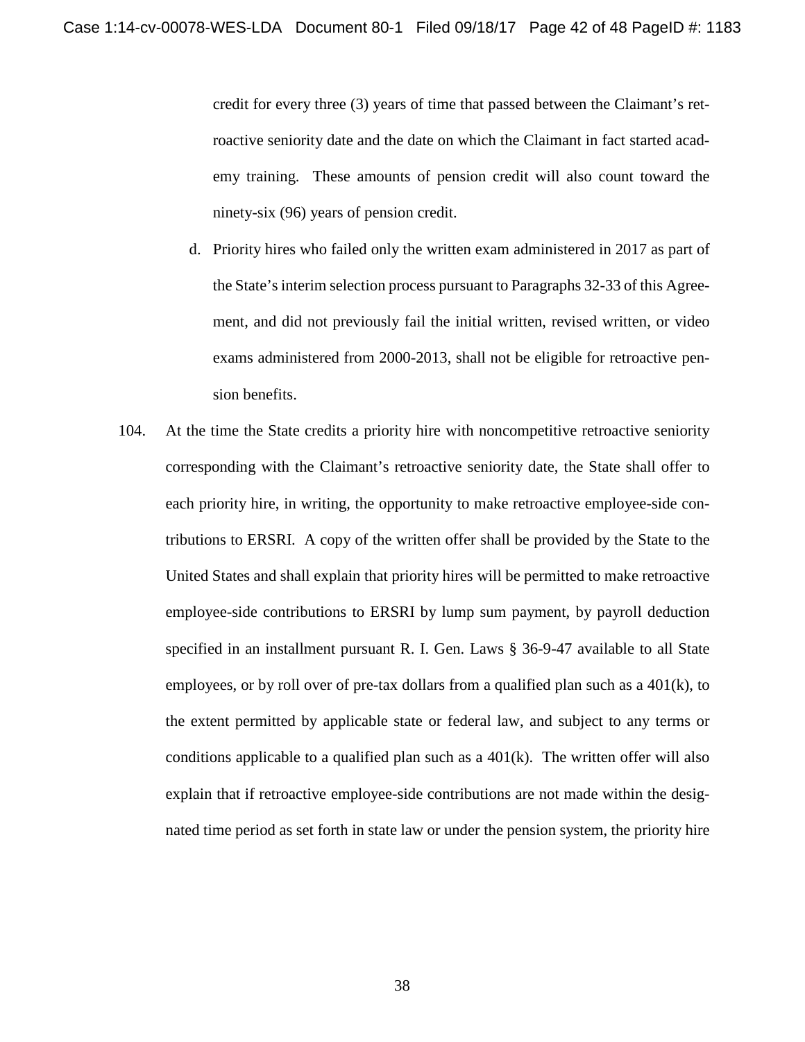credit for every three (3) years of time that passed between the Claimant's retroactive seniority date and the date on which the Claimant in fact started academy training. These amounts of pension credit will also count toward the ninety-six (96) years of pension credit.

- d. Priority hires who failed only the written exam administered in 2017 as part of the State's interim selection process pursuant to Paragraphs 32-33 of this Agreement, and did not previously fail the initial written, revised written, or video exams administered from 2000-2013, shall not be eligible for retroactive pension benefits.
- 104. At the time the State credits a priority hire with noncompetitive retroactive seniority corresponding with the Claimant's retroactive seniority date, the State shall offer to each priority hire, in writing, the opportunity to make retroactive employee-side contributions to ERSRI. A copy of the written offer shall be provided by the State to the United States and shall explain that priority hires will be permitted to make retroactive employee-side contributions to ERSRI by lump sum payment, by payroll deduction specified in an installment pursuant R. I. Gen. Laws § 36-9-47 available to all State employees, or by roll over of pre-tax dollars from a qualified plan such as a  $401(k)$ , to the extent permitted by applicable state or federal law, and subject to any terms or conditions applicable to a qualified plan such as a  $401(k)$ . The written offer will also explain that if retroactive employee-side contributions are not made within the designated time period as set forth in state law or under the pension system, the priority hire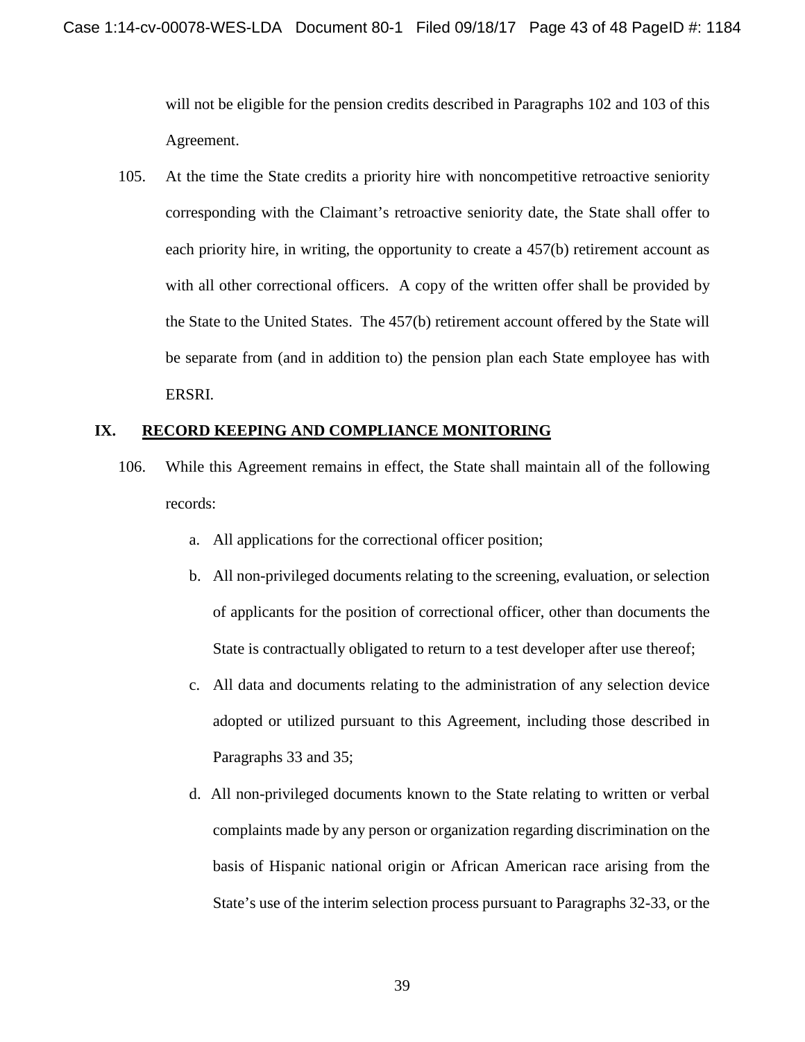will not be eligible for the pension credits described in Paragraphs 102 and 103 of this Agreement.

105. At the time the State credits a priority hire with noncompetitive retroactive seniority corresponding with the Claimant's retroactive seniority date, the State shall offer to each priority hire, in writing, the opportunity to create a 457(b) retirement account as with all other correctional officers. A copy of the written offer shall be provided by the State to the United States. The 457(b) retirement account offered by the State will be separate from (and in addition to) the pension plan each State employee has with ERSRI.

## **IX. RECORD KEEPING AND COMPLIANCE MONITORING**

- 106. While this Agreement remains in effect, the State shall maintain all of the following records:
	- a. All applications for the correctional officer position;
	- b. All non-privileged documents relating to the screening, evaluation, or selection of applicants for the position of correctional officer, other than documents the State is contractually obligated to return to a test developer after use thereof;
	- c. All data and documents relating to the administration of any selection device adopted or utilized pursuant to this Agreement, including those described in Paragraphs 33 and 35;
	- d. All non-privileged documents known to the State relating to written or verbal complaints made by any person or organization regarding discrimination on the basis of Hispanic national origin or African American race arising from the State's use of the interim selection process pursuant to Paragraphs 32-33, or the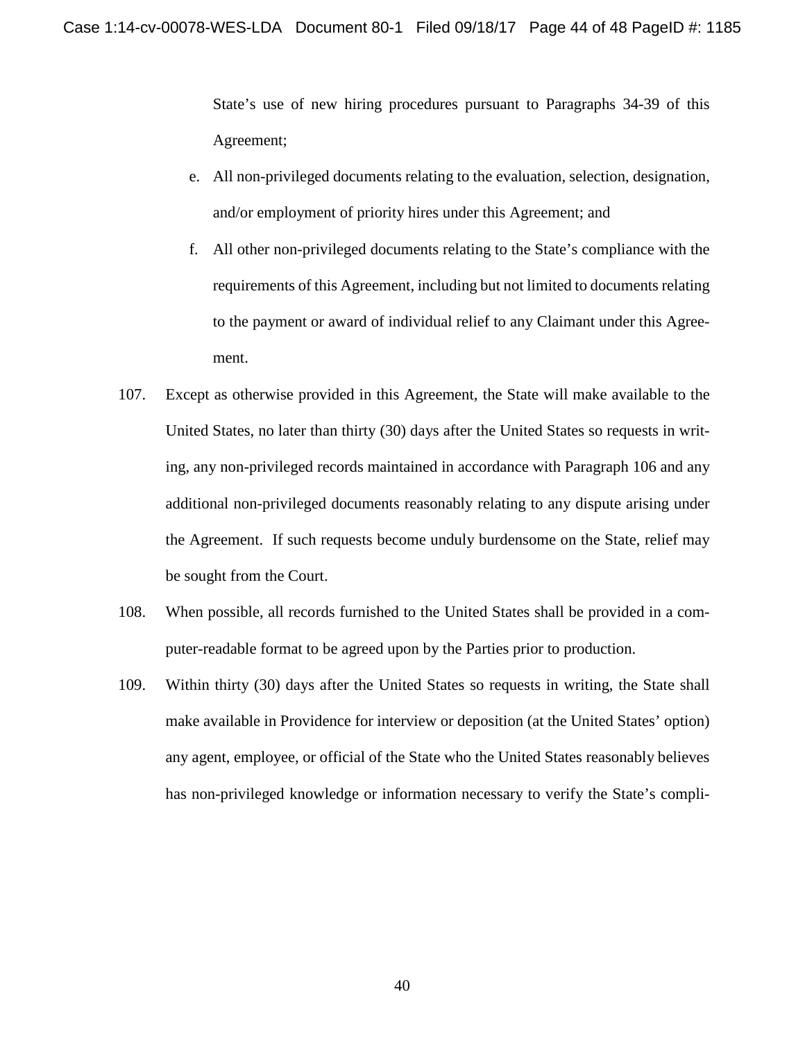State's use of new hiring procedures pursuant to Paragraphs 34-39 of this Agreement;

- e. All non-privileged documents relating to the evaluation, selection, designation, and/or employment of priority hires under this Agreement; and
- f. All other non-privileged documents relating to the State's compliance with the requirements of this Agreement, including but not limited to documents relating to the payment or award of individual relief to any Claimant under this Agreement.
- 107. Except as otherwise provided in this Agreement, the State will make available to the United States, no later than thirty (30) days after the United States so requests in writing, any non-privileged records maintained in accordance with Paragraph 106 and any additional non-privileged documents reasonably relating to any dispute arising under the Agreement. If such requests become unduly burdensome on the State, relief may be sought from the Court.
- 108. When possible, all records furnished to the United States shall be provided in a computer-readable format to be agreed upon by the Parties prior to production.
- 109. Within thirty (30) days after the United States so requests in writing, the State shall make available in Providence for interview or deposition (at the United States' option) any agent, employee, or official of the State who the United States reasonably believes has non-privileged knowledge or information necessary to verify the State's compli-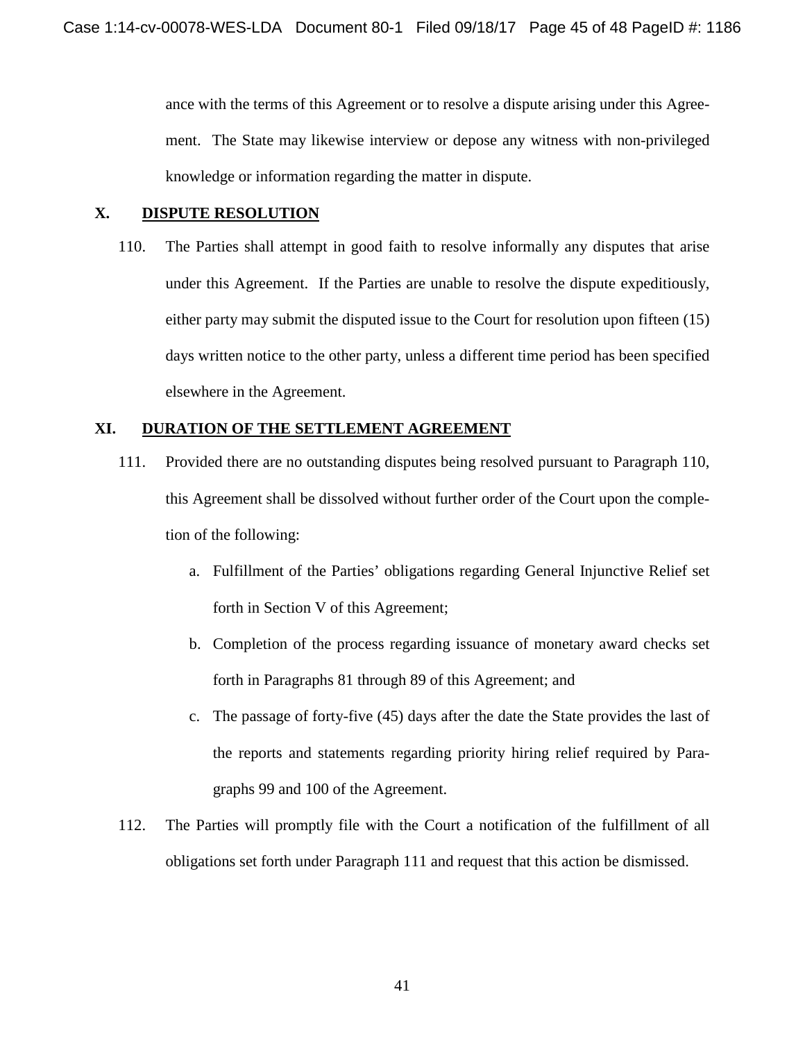ance with the terms of this Agreement or to resolve a dispute arising under this Agreement. The State may likewise interview or depose any witness with non-privileged knowledge or information regarding the matter in dispute.

## **X. DISPUTE RESOLUTION**

110. The Parties shall attempt in good faith to resolve informally any disputes that arise under this Agreement. If the Parties are unable to resolve the dispute expeditiously, either party may submit the disputed issue to the Court for resolution upon fifteen (15) days written notice to the other party, unless a different time period has been specified elsewhere in the Agreement.

## **XI. DURATION OF THE SETTLEMENT AGREEMENT**

- 111. Provided there are no outstanding disputes being resolved pursuant to Paragraph 110, this Agreement shall be dissolved without further order of the Court upon the completion of the following:
	- a. Fulfillment of the Parties' obligations regarding General Injunctive Relief set forth in Section V of this Agreement;
	- b. Completion of the process regarding issuance of monetary award checks set forth in Paragraphs 81 through 89 of this Agreement; and
	- c. The passage of forty-five (45) days after the date the State provides the last of the reports and statements regarding priority hiring relief required by Paragraphs 99 and 100 of the Agreement.
- 112. The Parties will promptly file with the Court a notification of the fulfillment of all obligations set forth under Paragraph 111 and request that this action be dismissed.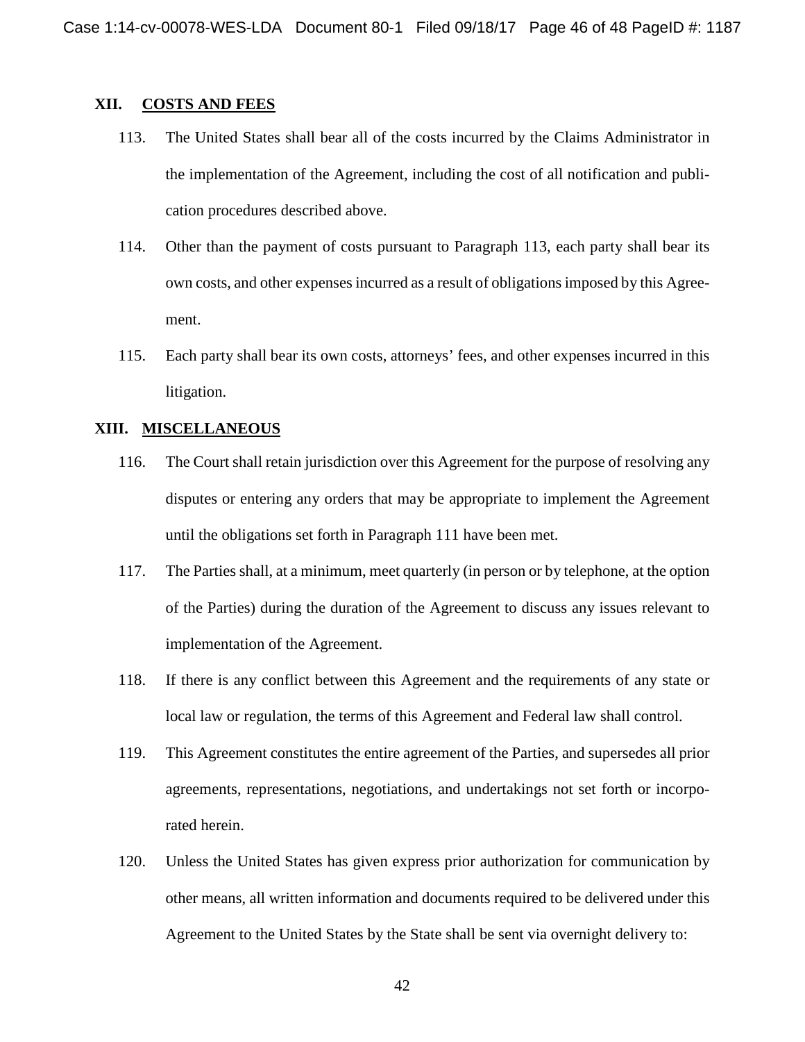#### **XII. COSTS AND FEES**

- 113. The United States shall bear all of the costs incurred by the Claims Administrator in the implementation of the Agreement, including the cost of all notification and publication procedures described above.
- 114. Other than the payment of costs pursuant to Paragraph 113, each party shall bear its own costs, and other expensesincurred as a result of obligationsimposed by this Agreement.
- 115. Each party shall bear its own costs, attorneys' fees, and other expenses incurred in this litigation.

### **XIII. MISCELLANEOUS**

- 116. The Court shall retain jurisdiction over this Agreement for the purpose of resolving any disputes or entering any orders that may be appropriate to implement the Agreement until the obligations set forth in Paragraph 111 have been met.
- 117. The Parties shall, at a minimum, meet quarterly (in person or by telephone, at the option of the Parties) during the duration of the Agreement to discuss any issues relevant to implementation of the Agreement.
- 118. If there is any conflict between this Agreement and the requirements of any state or local law or regulation, the terms of this Agreement and Federal law shall control.
- 119. This Agreement constitutes the entire agreement of the Parties, and supersedes all prior agreements, representations, negotiations, and undertakings not set forth or incorporated herein.
- 120. Unless the United States has given express prior authorization for communication by other means, all written information and documents required to be delivered under this Agreement to the United States by the State shall be sent via overnight delivery to: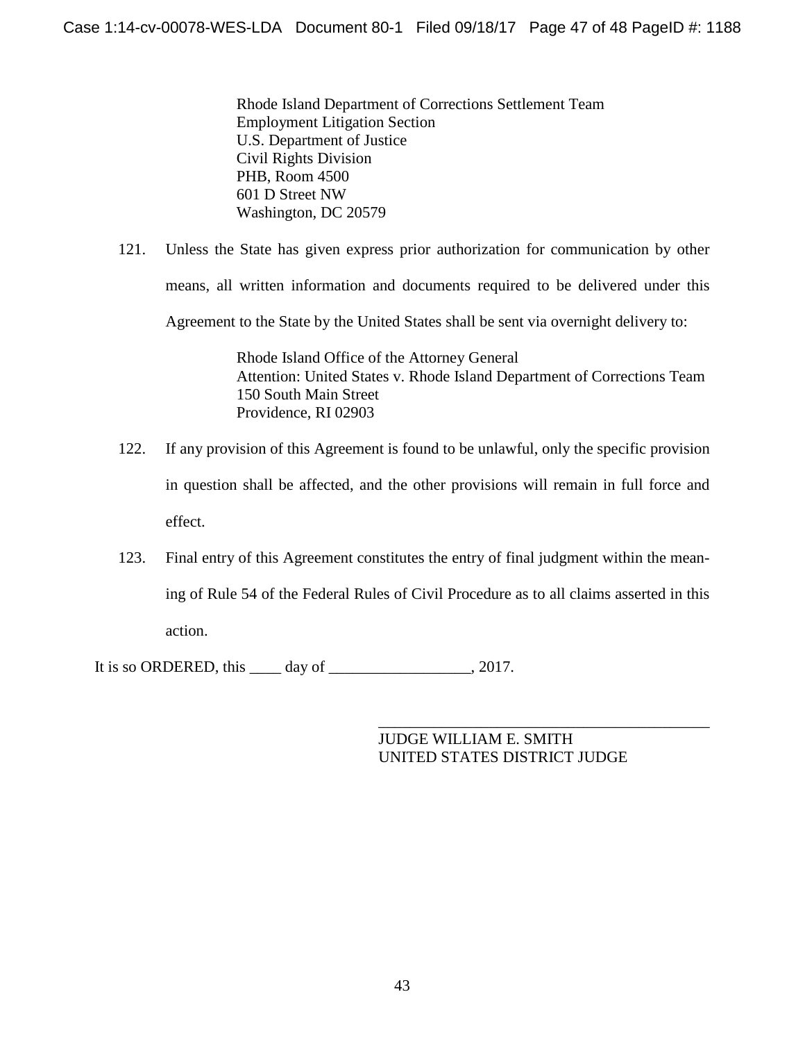Rhode Island Department of Corrections Settlement Team Employment Litigation Section U.S. Department of Justice Civil Rights Division PHB, Room 4500 601 D Street NW Washington, DC 20579

121. Unless the State has given express prior authorization for communication by other means, all written information and documents required to be delivered under this Agreement to the State by the United States shall be sent via overnight delivery to:

> Rhode Island Office of the Attorney General Attention: United States v. Rhode Island Department of Corrections Team 150 South Main Street Providence, RI 02903

- 122. If any provision of this Agreement is found to be unlawful, only the specific provision in question shall be affected, and the other provisions will remain in full force and effect.
- 123. Final entry of this Agreement constitutes the entry of final judgment within the meaning of Rule 54 of the Federal Rules of Civil Procedure as to all claims asserted in this action.

It is so ORDERED, this day of  $\qquad \qquad$ , 2017.

\_\_\_\_\_\_\_\_\_\_\_\_\_\_\_\_\_\_\_\_\_\_\_\_\_\_\_\_\_\_\_\_\_\_\_\_\_\_\_\_\_\_ JUDGE WILLIAM E. SMITH UNITED STATES DISTRICT JUDGE